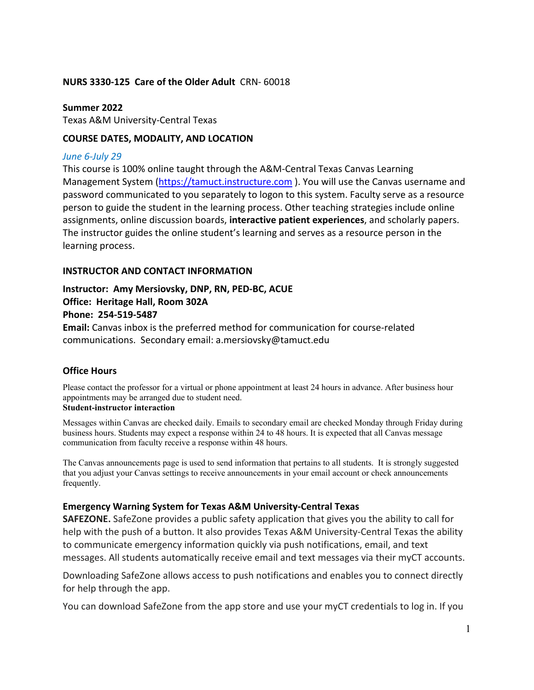#### **NURS 3330-125 Care of the Older Adult** CRN- 60018

**Summer 2022** Texas A&M University-Central Texas

## **COURSE DATES, MODALITY, AND LOCATION**

## *June 6-July 29*

This course is 100% online taught through the A&M-Central Texas Canvas Learning Management System [\(https://tamuct.instructure.com](https://tamuct.instructure.com/) ). You will use the Canvas username and password communicated to you separately to logon to this system. Faculty serve as a resource person to guide the student in the learning process. Other teaching strategies include online assignments, online discussion boards, **interactive patient experiences**, and scholarly papers. The instructor guides the online student's learning and serves as a resource person in the learning process.

## **INSTRUCTOR AND CONTACT INFORMATION**

# **Instructor: Amy Mersiovsky, DNP, RN, PED-BC, ACUE Office: Heritage Hall, Room 302A Phone: 254-519-5487**

**Email:** Canvas inbox is the preferred method for communication for course-related communications. Secondary email: a.mersiovsky@tamuct.edu

## **Office Hours**

Please contact the professor for a virtual or phone appointment at least 24 hours in advance. After business hour appointments may be arranged due to student need. **Student-instructor interaction**

Messages within Canvas are checked daily. Emails to secondary email are checked Monday through Friday during business hours. Students may expect a response within 24 to 48 hours. It is expected that all Canvas message communication from faculty receive a response within 48 hours.

The Canvas announcements page is used to send information that pertains to all students. It is strongly suggested that you adjust your Canvas settings to receive announcements in your email account or check announcements frequently.

## **Emergency Warning System for Texas A&M University-Central Texas**

**SAFEZONE.** SafeZone provides a public safety application that gives you the ability to call for help with the push of a button. It also provides Texas A&M University-Central Texas the ability to communicate emergency information quickly via push notifications, email, and text messages. All students automatically receive email and text messages via their myCT accounts.

Downloading SafeZone allows access to push notifications and enables you to connect directly for help through the app.

You can download SafeZone from the app store and use your myCT credentials to log in. If you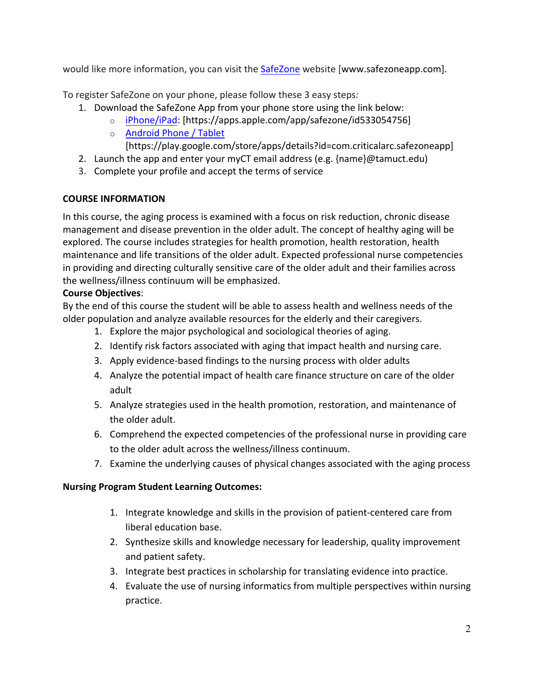would like more information, you can visit the [SafeZone](http://www.safezoneapp.com/) website [www.safezoneapp.com].

To register SafeZone on your phone, please follow these 3 easy steps*:*

- 1. Download the SafeZone App from your phone store using the link below:
	- o [iPhone/iPad:](https://apps.apple.com/app/safezone/id533054756) [https://apps.apple.com/app/safezone/id533054756]
	- o [Android Phone / Tablet](https://play.google.com/store/apps/details?id=com.criticalarc.safezoneapp)

[https://play.google.com/store/apps/details?id=com.criticalarc.safezoneapp]

- 2. Launch the app and enter your myCT email address (e.g.  ${name}$ ) $@t$ amuct.edu)
- 3. Complete your profile and accept the terms of service

# **COURSE INFORMATION**

In this course, the aging process is examined with a focus on risk reduction, chronic disease management and disease prevention in the older adult. The concept of healthy aging will be explored. The course includes strategies for health promotion, health restoration, health maintenance and life transitions of the older adult. Expected professional nurse competencies in providing and directing culturally sensitive care of the older adult and their families across the wellness/illness continuum will be emphasized.

# **Course Objectives**:

By the end of this course the student will be able to assess health and wellness needs of the older population and analyze available resources for the elderly and their caregivers.

- 1. Explore the major psychological and sociological theories of aging.
- 2. Identify risk factors associated with aging that impact health and nursing care.
- 3. Apply evidence-based findings to the nursing process with older adults
- 4. Analyze the potential impact of health care finance structure on care of the older adult
- 5. Analyze strategies used in the health promotion, restoration, and maintenance of the older adult.
- 6. Comprehend the expected competencies of the professional nurse in providing care to the older adult across the wellness/illness continuum.
- 7. Examine the underlying causes of physical changes associated with the aging process

# **Nursing Program Student Learning Outcomes:**

- 1. Integrate knowledge and skills in the provision of patient-centered care from liberal education base.
- 2. Synthesize skills and knowledge necessary for leadership, quality improvement and patient safety.
- 3. Integrate best practices in scholarship for translating evidence into practice.
- 4. Evaluate the use of nursing informatics from multiple perspectives within nursing practice.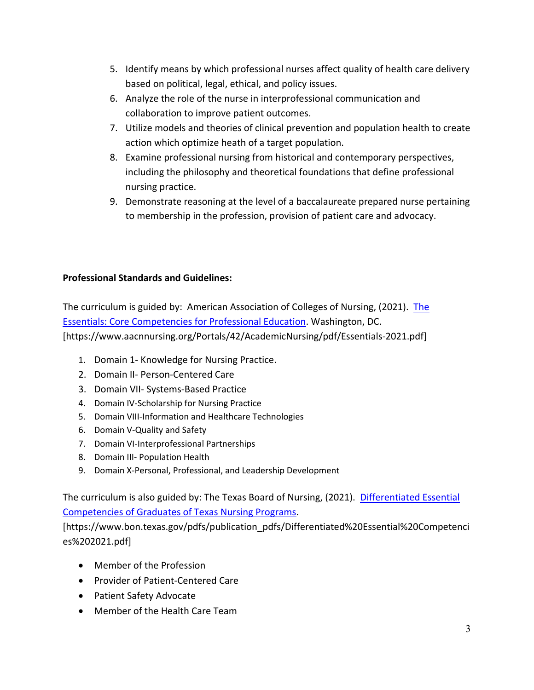- 5. Identify means by which professional nurses affect quality of health care delivery based on political, legal, ethical, and policy issues.
- 6. Analyze the role of the nurse in interprofessional communication and collaboration to improve patient outcomes.
- 7. Utilize models and theories of clinical prevention and population health to create action which optimize heath of a target population.
- 8. Examine professional nursing from historical and contemporary perspectives, including the philosophy and theoretical foundations that define professional nursing practice.
- 9. Demonstrate reasoning at the level of a baccalaureate prepared nurse pertaining to membership in the profession, provision of patient care and advocacy.

# **Professional Standards and Guidelines:**

The curriculum is guided by: American Association of Colleges of Nursing, (2021). [The](https://www.aacnnursing.org/Portals/42/AcademicNursing/pdf/Essentials-2021.pdf)  [Essentials: Core Competencies for Professional Education.](https://www.aacnnursing.org/Portals/42/AcademicNursing/pdf/Essentials-2021.pdf) Washington, DC. [https://www.aacnnursing.org/Portals/42/AcademicNursing/pdf/Essentials-2021.pdf]

- 1. Domain 1- Knowledge for Nursing Practice.
- 2. Domain II- Person-Centered Care
- 3. Domain VII- Systems-Based Practice
- 4. Domain IV-Scholarship for Nursing Practice
- 5. Domain VIII-Information and Healthcare Technologies
- 6. Domain V-Quality and Safety
- 7. Domain VI-Interprofessional Partnerships
- 8. Domain III- Population Health
- 9. Domain X-Personal, Professional, and Leadership Development

The curriculum is also guided by: The Texas Board of Nursing, (2021). [Differentiated](https://www.bon.texas.gov/pdfs/publication_pdfs/Differentiated%20Essential%20Competencies%202021.pdf) Essential [Competencies of Graduates of Texas Nursing Programs.](https://www.bon.texas.gov/pdfs/publication_pdfs/Differentiated%20Essential%20Competencies%202021.pdf)

[https://www.bon.texas.gov/pdfs/publication\_pdfs/Differentiated%20Essential%20Competenci es%202021.pdf]

- Member of the Profession
- Provider of Patient-Centered Care
- Patient Safety Advocate
- Member of the Health Care Team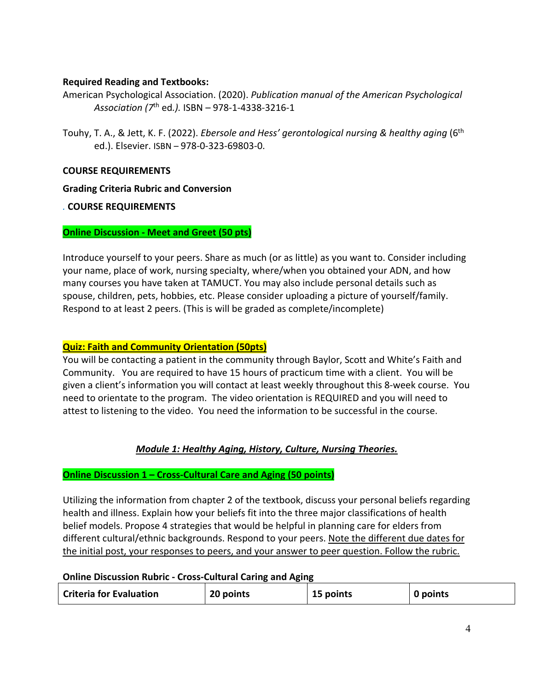## **Required Reading and Textbooks:**

American Psychological Association. (2020). *Publication manual of the American Psychological Association (7*th ed*.).* ISBN – 978-1-4338-3216-1

Touhy, T. A., & Jett, K. F. (2022). *Ebersole and Hess' gerontological nursing & healthy aging* (6th ed.). Elsevier. ISBN – 978-0-323-69803-0.

## **COURSE REQUIREMENTS**

**Grading Criteria Rubric and Conversion** 

## *.* **COURSE REQUIREMENTS**

## **Online Discussion - Meet and Greet (50 pts)**

Introduce yourself to your peers. Share as much (or as little) as you want to. Consider including your name, place of work, nursing specialty, where/when you obtained your ADN, and how many courses you have taken at TAMUCT. You may also include personal details such as spouse, children, pets, hobbies, etc. Please consider uploading a picture of yourself/family. Respond to at least 2 peers. (This is will be graded as complete/incomplete)

## **Quiz: Faith and Community Orientation (50pts)**

You will be contacting a patient in the community through Baylor, Scott and White's Faith and Community. You are required to have 15 hours of practicum time with a client. You will be given a client's information you will contact at least weekly throughout this 8-week course. You need to orientate to the program. The video orientation is REQUIRED and you will need to attest to listening to the video. You need the information to be successful in the course.

# *Module 1: Healthy Aging, History, Culture, Nursing Theories.*

## **Online Discussion 1 – Cross-Cultural Care and Aging (50 points)**

Utilizing the information from chapter 2 of the textbook, discuss your personal beliefs regarding health and illness. Explain how your beliefs fit into the three major classifications of health belief models. Propose 4 strategies that would be helpful in planning care for elders from different cultural/ethnic backgrounds. Respond to your peers. Note the different due dates for the initial post, your responses to peers, and your answer to peer question. Follow the rubric.

#### **Online Discussion Rubric - Cross-Cultural Caring and Aging**

| <b>Criteria for Evaluation</b> | 20 points | 15 points | 0 points |
|--------------------------------|-----------|-----------|----------|
|--------------------------------|-----------|-----------|----------|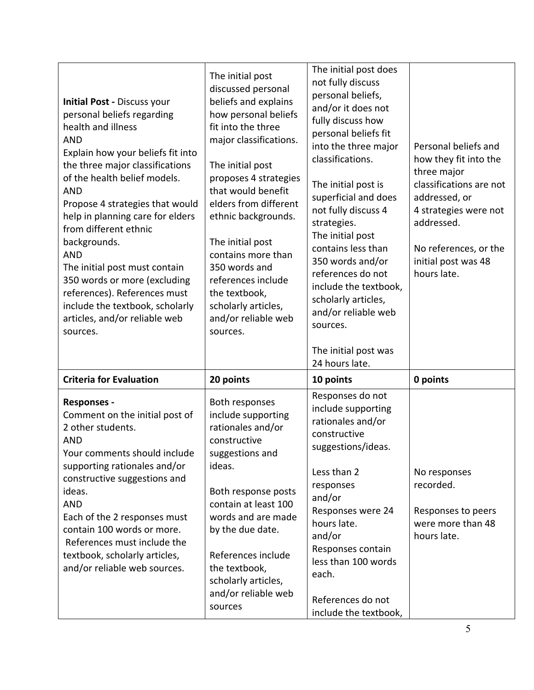| <b>Initial Post - Discuss your</b><br>personal beliefs regarding<br>health and illness<br><b>AND</b><br>Explain how your beliefs fit into<br>the three major classifications<br>of the health belief models.<br><b>AND</b><br>Propose 4 strategies that would<br>help in planning care for elders<br>from different ethnic<br>backgrounds.<br><b>AND</b><br>The initial post must contain<br>350 words or more (excluding<br>references). References must<br>include the textbook, scholarly<br>articles, and/or reliable web<br>sources. | The initial post<br>discussed personal<br>beliefs and explains<br>how personal beliefs<br>fit into the three<br>major classifications.<br>The initial post<br>proposes 4 strategies<br>that would benefit<br>elders from different<br>ethnic backgrounds.<br>The initial post<br>contains more than<br>350 words and<br>references include<br>the textbook,<br>scholarly articles,<br>and/or reliable web<br>sources. | The initial post does<br>not fully discuss<br>personal beliefs,<br>and/or it does not<br>fully discuss how<br>personal beliefs fit<br>into the three major<br>classifications.<br>The initial post is<br>superficial and does<br>not fully discuss 4<br>strategies.<br>The initial post<br>contains less than<br>350 words and/or<br>references do not<br>include the textbook,<br>scholarly articles,<br>and/or reliable web<br>sources. | Personal beliefs and<br>how they fit into the<br>three major<br>classifications are not<br>addressed, or<br>4 strategies were not<br>addressed.<br>No references, or the<br>initial post was 48<br>hours late. |
|-------------------------------------------------------------------------------------------------------------------------------------------------------------------------------------------------------------------------------------------------------------------------------------------------------------------------------------------------------------------------------------------------------------------------------------------------------------------------------------------------------------------------------------------|-----------------------------------------------------------------------------------------------------------------------------------------------------------------------------------------------------------------------------------------------------------------------------------------------------------------------------------------------------------------------------------------------------------------------|-------------------------------------------------------------------------------------------------------------------------------------------------------------------------------------------------------------------------------------------------------------------------------------------------------------------------------------------------------------------------------------------------------------------------------------------|----------------------------------------------------------------------------------------------------------------------------------------------------------------------------------------------------------------|
|                                                                                                                                                                                                                                                                                                                                                                                                                                                                                                                                           |                                                                                                                                                                                                                                                                                                                                                                                                                       | The initial post was<br>24 hours late.                                                                                                                                                                                                                                                                                                                                                                                                    |                                                                                                                                                                                                                |
| <b>Criteria for Evaluation</b>                                                                                                                                                                                                                                                                                                                                                                                                                                                                                                            | 20 points                                                                                                                                                                                                                                                                                                                                                                                                             | 10 points<br>Responses do not                                                                                                                                                                                                                                                                                                                                                                                                             | 0 points                                                                                                                                                                                                       |
| <b>Responses -</b><br>Comment on the initial post of<br>2 other students.<br><b>AND</b><br>Your comments should include<br>supporting rationales and/or<br>constructive suggestions and<br>ideas.<br><b>AND</b><br>Each of the 2 responses must<br>contain 100 words or more.<br>References must include the<br>textbook, scholarly articles,<br>and/or reliable web sources.                                                                                                                                                             | Both responses<br>include supporting<br>rationales and/or<br>constructive<br>suggestions and<br>ideas.<br>Both response posts<br>contain at least 100<br>words and are made<br>by the due date.<br>References include<br>the textbook,<br>scholarly articles,<br>and/or reliable web<br>sources                                                                                                                       | include supporting<br>rationales and/or<br>constructive<br>suggestions/ideas.<br>Less than 2<br>responses<br>and/or<br>Responses were 24<br>hours late.<br>and/or<br>Responses contain<br>less than 100 words<br>each.<br>References do not<br>include the textbook,                                                                                                                                                                      | No responses<br>recorded.<br>Responses to peers<br>were more than 48<br>hours late.                                                                                                                            |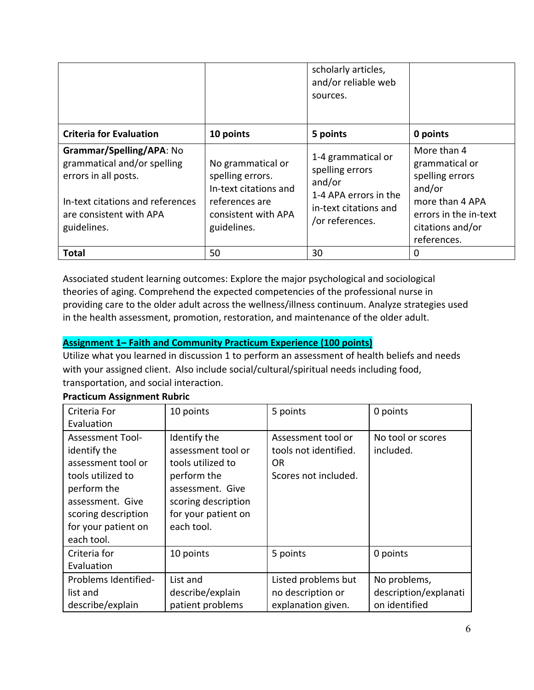|                                                                                                                                                               |                                                                                                                        | scholarly articles,<br>and/or reliable web<br>sources.                                                               |                                                                                                                                           |
|---------------------------------------------------------------------------------------------------------------------------------------------------------------|------------------------------------------------------------------------------------------------------------------------|----------------------------------------------------------------------------------------------------------------------|-------------------------------------------------------------------------------------------------------------------------------------------|
| <b>Criteria for Evaluation</b>                                                                                                                                | 10 points                                                                                                              | 5 points                                                                                                             | 0 points                                                                                                                                  |
| Grammar/Spelling/APA: No<br>grammatical and/or spelling<br>errors in all posts.<br>In-text citations and references<br>are consistent with APA<br>guidelines. | No grammatical or<br>spelling errors.<br>In-text citations and<br>references are<br>consistent with APA<br>guidelines. | 1-4 grammatical or<br>spelling errors<br>and/or<br>1-4 APA errors in the<br>in-text citations and<br>/or references. | More than 4<br>grammatical or<br>spelling errors<br>and/or<br>more than 4 APA<br>errors in the in-text<br>citations and/or<br>references. |
| Total                                                                                                                                                         | 50                                                                                                                     | 30                                                                                                                   | 0                                                                                                                                         |

Associated student learning outcomes: Explore the major psychological and sociological theories of aging. Comprehend the expected competencies of the professional nurse in providing care to the older adult across the wellness/illness continuum. Analyze strategies used in the health assessment, promotion, restoration, and maintenance of the older adult.

# **Assignment 1– Faith and Community Practicum Experience (100 points)**

Utilize what you learned in discussion 1 to perform an assessment of health beliefs and needs with your assigned client. Also include social/cultural/spiritual needs including food, transportation, and social interaction.

| Criteria For            | 10 points           | 5 points              | 0 points              |
|-------------------------|---------------------|-----------------------|-----------------------|
| Evaluation              |                     |                       |                       |
| <b>Assessment Tool-</b> | Identify the        | Assessment tool or    | No tool or scores     |
| identify the            | assessment tool or  | tools not identified. | included.             |
| assessment tool or      | tools utilized to   | OR.                   |                       |
| tools utilized to       | perform the         | Scores not included.  |                       |
| perform the             | assessment. Give    |                       |                       |
| assessment. Give        | scoring description |                       |                       |
| scoring description     | for your patient on |                       |                       |
| for your patient on     | each tool.          |                       |                       |
| each tool.              |                     |                       |                       |
| Criteria for            | 10 points           | 5 points              | 0 points              |
| Evaluation              |                     |                       |                       |
| Problems Identified-    | List and            | Listed problems but   | No problems,          |
| list and                | describe/explain    | no description or     | description/explanati |
| describe/explain        | patient problems    | explanation given.    | on identified         |

## **Practicum Assignment Rubric**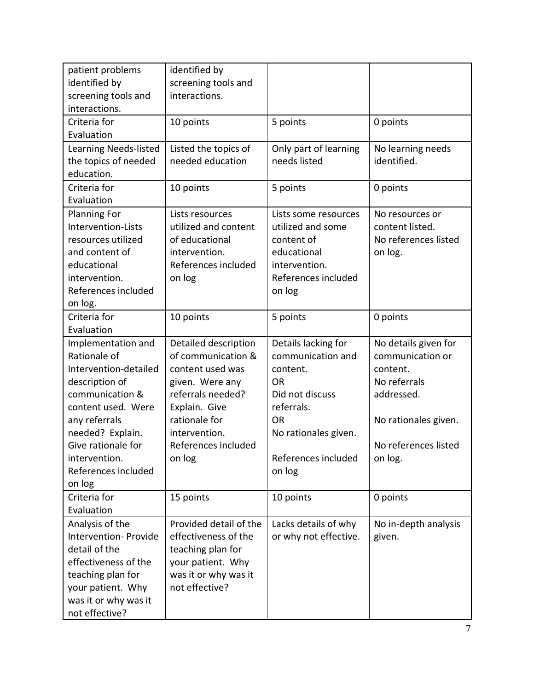| patient problems             | identified by          |                       |                      |
|------------------------------|------------------------|-----------------------|----------------------|
| identified by                | screening tools and    |                       |                      |
| screening tools and          | interactions.          |                       |                      |
| interactions.                |                        |                       |                      |
| Criteria for                 | 10 points              | 5 points              | 0 points             |
| Evaluation                   |                        |                       |                      |
| <b>Learning Needs-listed</b> | Listed the topics of   | Only part of learning | No learning needs    |
| the topics of needed         | needed education       | needs listed          | identified.          |
| education.                   |                        |                       |                      |
| Criteria for                 | 10 points              | 5 points              | 0 points             |
| Evaluation                   |                        |                       |                      |
| <b>Planning For</b>          | Lists resources        | Lists some resources  | No resources or      |
| Intervention-Lists           | utilized and content   | utilized and some     | content listed.      |
| resources utilized           | of educational         | content of            | No references listed |
| and content of               | intervention.          | educational           | on log.              |
| educational                  | References included    | intervention.         |                      |
| intervention.                | on log                 | References included   |                      |
| References included          |                        | on log                |                      |
| on log.                      |                        |                       |                      |
| Criteria for                 | 10 points              | 5 points              | 0 points             |
| Evaluation                   |                        |                       |                      |
| Implementation and           | Detailed description   | Details lacking for   | No details given for |
| Rationale of                 | of communication &     | communication and     | communication or     |
| Intervention-detailed        | content used was       | content.              | content.             |
| description of               | given. Were any        | <b>OR</b>             | No referrals         |
| communication &              | referrals needed?      | Did not discuss       | addressed.           |
| content used. Were           | Explain. Give          | referrals.            |                      |
| any referrals                | rationale for          | <b>OR</b>             | No rationales given. |
| needed? Explain.             | intervention.          | No rationales given.  |                      |
| Give rationale for           | References included    |                       | No references listed |
| intervention.                | on log                 | References included   | on log.              |
| References included          |                        | on log                |                      |
| on log                       |                        |                       |                      |
| Criteria for                 | 15 points              | 10 points             | 0 points             |
| Evaluation                   |                        |                       |                      |
| Analysis of the              | Provided detail of the | Lacks details of why  | No in-depth analysis |
| Intervention- Provide        | effectiveness of the   | or why not effective. | given.               |
| detail of the                | teaching plan for      |                       |                      |
| effectiveness of the         | your patient. Why      |                       |                      |
| teaching plan for            | was it or why was it   |                       |                      |
| your patient. Why            | not effective?         |                       |                      |
| was it or why was it         |                        |                       |                      |
| not effective?               |                        |                       |                      |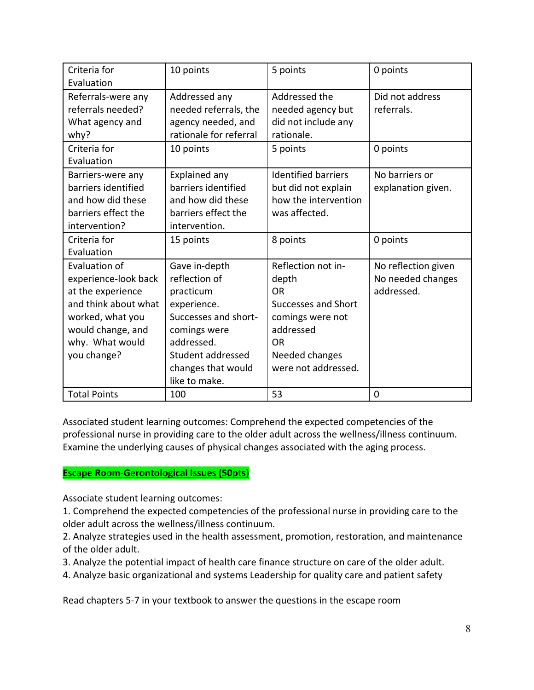| Criteria for<br>Evaluation                                                                                                                                    | 10 points                                                                                                                                                                    | 5 points                                                                                                                                                | 0 points                                               |
|---------------------------------------------------------------------------------------------------------------------------------------------------------------|------------------------------------------------------------------------------------------------------------------------------------------------------------------------------|---------------------------------------------------------------------------------------------------------------------------------------------------------|--------------------------------------------------------|
| Referrals-were any<br>referrals needed?<br>What agency and<br>why?                                                                                            | Addressed any<br>needed referrals, the<br>agency needed, and<br>rationale for referral                                                                                       | Addressed the<br>needed agency but<br>did not include any<br>rationale.                                                                                 | Did not address<br>referrals.                          |
| Criteria for<br>Evaluation                                                                                                                                    | 10 points                                                                                                                                                                    | 5 points                                                                                                                                                | 0 points                                               |
| Barriers-were any<br>barriers identified<br>and how did these<br>barriers effect the<br>intervention?                                                         | Explained any<br>barriers identified<br>and how did these<br>barriers effect the<br>intervention.                                                                            | <b>Identified barriers</b><br>but did not explain<br>how the intervention<br>was affected.                                                              | No barriers or<br>explanation given.                   |
| Criteria for<br>Evaluation                                                                                                                                    | 15 points                                                                                                                                                                    | 8 points                                                                                                                                                | 0 points                                               |
| Evaluation of<br>experience-look back<br>at the experience<br>and think about what<br>worked, what you<br>would change, and<br>why. What would<br>you change? | Gave in-depth<br>reflection of<br>practicum<br>experience.<br>Successes and short-<br>comings were<br>addressed.<br>Student addressed<br>changes that would<br>like to make. | Reflection not in-<br>depth<br>OR.<br><b>Successes and Short</b><br>comings were not<br>addressed<br><b>OR</b><br>Needed changes<br>were not addressed. | No reflection given<br>No needed changes<br>addressed. |
| <b>Total Points</b>                                                                                                                                           | 100                                                                                                                                                                          | 53                                                                                                                                                      | 0                                                      |

Associated student learning outcomes: Comprehend the expected competencies of the professional nurse in providing care to the older adult across the wellness/illness continuum. Examine the underlying causes of physical changes associated with the aging process.

# **Escape Room-Gerontological Issues (50pts)**

Associate student learning outcomes:

1. Comprehend the expected competencies of the professional nurse in providing care to the older adult across the wellness/illness continuum.

2. Analyze strategies used in the health assessment, promotion, restoration, and maintenance of the older adult.

- 3. Analyze the potential impact of health care finance structure on care of the older adult.
- 4. Analyze basic organizational and systems Leadership for quality care and patient safety

Read chapters 5-7 in your textbook to answer the questions in the escape room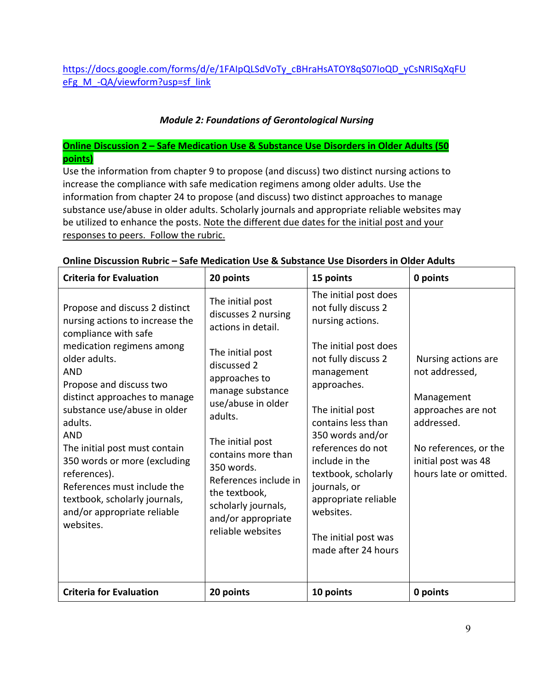# *Module 2: Foundations of Gerontological Nursing*

# **Online Discussion 2 – Safe Medication Use & Substance Use Disorders in Older Adults (50 points)**

Use the information from chapter 9 to propose (and discuss) two distinct nursing actions to increase the compliance with safe medication regimens among older adults. Use the information from chapter 24 to propose (and discuss) two distinct approaches to manage substance use/abuse in older adults. Scholarly journals and appropriate reliable websites may be utilized to enhance the posts. Note the different due dates for the initial post and your responses to peers. Follow the rubric.

| <b>Criteria for Evaluation</b>                                                                                                                                                                                                                                                                                                                                                                                                                                          | 20 points                                                                                                                                                                                                                                                                                                                                  | 15 points                                                                                                                                                                                                                                                                                                                                                                     | 0 points                                                                                                                                                          |
|-------------------------------------------------------------------------------------------------------------------------------------------------------------------------------------------------------------------------------------------------------------------------------------------------------------------------------------------------------------------------------------------------------------------------------------------------------------------------|--------------------------------------------------------------------------------------------------------------------------------------------------------------------------------------------------------------------------------------------------------------------------------------------------------------------------------------------|-------------------------------------------------------------------------------------------------------------------------------------------------------------------------------------------------------------------------------------------------------------------------------------------------------------------------------------------------------------------------------|-------------------------------------------------------------------------------------------------------------------------------------------------------------------|
| Propose and discuss 2 distinct<br>nursing actions to increase the<br>compliance with safe<br>medication regimens among<br>older adults.<br><b>AND</b><br>Propose and discuss two<br>distinct approaches to manage<br>substance use/abuse in older<br>adults.<br><b>AND</b><br>The initial post must contain<br>350 words or more (excluding<br>references).<br>References must include the<br>textbook, scholarly journals,<br>and/or appropriate reliable<br>websites. | The initial post<br>discusses 2 nursing<br>actions in detail.<br>The initial post<br>discussed 2<br>approaches to<br>manage substance<br>use/abuse in older<br>adults.<br>The initial post<br>contains more than<br>350 words.<br>References include in<br>the textbook,<br>scholarly journals,<br>and/or appropriate<br>reliable websites | The initial post does<br>not fully discuss 2<br>nursing actions.<br>The initial post does<br>not fully discuss 2<br>management<br>approaches.<br>The initial post<br>contains less than<br>350 words and/or<br>references do not<br>include in the<br>textbook, scholarly<br>journals, or<br>appropriate reliable<br>websites.<br>The initial post was<br>made after 24 hours | Nursing actions are<br>not addressed,<br>Management<br>approaches are not<br>addressed.<br>No references, or the<br>initial post was 48<br>hours late or omitted. |
| <b>Criteria for Evaluation</b>                                                                                                                                                                                                                                                                                                                                                                                                                                          | 20 points                                                                                                                                                                                                                                                                                                                                  | 10 points                                                                                                                                                                                                                                                                                                                                                                     | 0 points                                                                                                                                                          |

#### **Online Discussion Rubric – Safe Medication Use & Substance Use Disorders in Older Adults**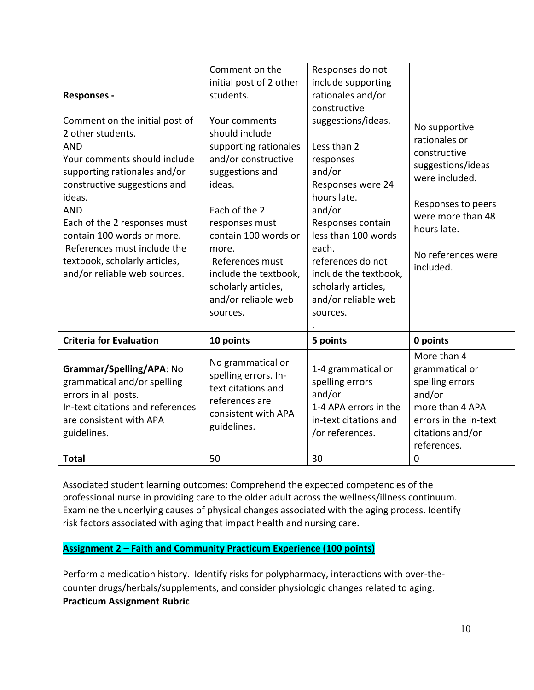| Comment on the<br>initial post of 2 other<br>students.<br>Your comments<br>should include<br>supporting rationales<br>and/or constructive<br>suggestions and<br>ideas.<br>Each of the 2<br>responses must<br>contain 100 words or<br>more.<br>References must<br>include the textbook,<br>scholarly articles,<br>and/or reliable web<br>sources. | Responses do not<br>include supporting<br>rationales and/or<br>constructive<br>suggestions/ideas.<br>Less than 2<br>responses<br>and/or<br>Responses were 24<br>hours late.<br>and/or<br>Responses contain<br>less than 100 words<br>each.<br>references do not<br>include the textbook,<br>scholarly articles,<br>and/or reliable web<br>sources. | No supportive<br>rationales or<br>constructive<br>suggestions/ideas<br>were included.<br>Responses to peers<br>were more than 48<br>hours late.<br>No references were<br>included. |
|--------------------------------------------------------------------------------------------------------------------------------------------------------------------------------------------------------------------------------------------------------------------------------------------------------------------------------------------------|----------------------------------------------------------------------------------------------------------------------------------------------------------------------------------------------------------------------------------------------------------------------------------------------------------------------------------------------------|------------------------------------------------------------------------------------------------------------------------------------------------------------------------------------|
| 10 points                                                                                                                                                                                                                                                                                                                                        | 5 points                                                                                                                                                                                                                                                                                                                                           | 0 points                                                                                                                                                                           |
| No grammatical or<br>spelling errors. In-<br>text citations and<br>references are                                                                                                                                                                                                                                                                | 1-4 grammatical or<br>spelling errors<br>and/or                                                                                                                                                                                                                                                                                                    | More than 4<br>grammatical or<br>spelling errors                                                                                                                                   |
|                                                                                                                                                                                                                                                                                                                                                  |                                                                                                                                                                                                                                                                                                                                                    |                                                                                                                                                                                    |

Associated student learning outcomes: Comprehend the expected competencies of the professional nurse in providing care to the older adult across the wellness/illness continuum. Examine the underlying causes of physical changes associated with the aging process. Identify risk factors associated with aging that impact health and nursing care.

# **Assignment 2 – Faith and Community Practicum Experience (100 points)**

Perform a medication history. Identify risks for polypharmacy, interactions with over-thecounter drugs/herbals/supplements, and consider physiologic changes related to aging. **Practicum Assignment Rubric**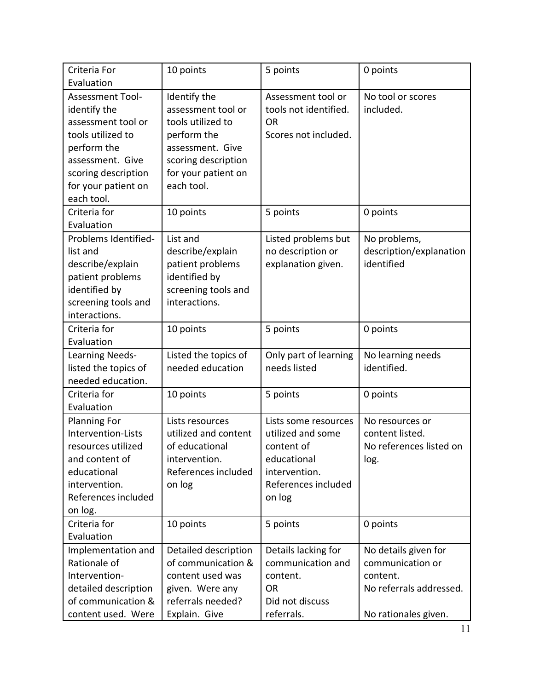| Criteria For<br>Evaluation                                                                                                                                                 | 10 points                                                                                                                                              | 5 points                                                                                                                 | 0 points                                                                        |
|----------------------------------------------------------------------------------------------------------------------------------------------------------------------------|--------------------------------------------------------------------------------------------------------------------------------------------------------|--------------------------------------------------------------------------------------------------------------------------|---------------------------------------------------------------------------------|
| Assessment Tool-<br>identify the<br>assessment tool or<br>tools utilized to<br>perform the<br>assessment. Give<br>scoring description<br>for your patient on<br>each tool. | Identify the<br>assessment tool or<br>tools utilized to<br>perform the<br>assessment. Give<br>scoring description<br>for your patient on<br>each tool. | Assessment tool or<br>tools not identified.<br><b>OR</b><br>Scores not included.                                         | No tool or scores<br>included.                                                  |
| Criteria for<br>Evaluation                                                                                                                                                 | 10 points                                                                                                                                              | 5 points                                                                                                                 | 0 points                                                                        |
| Problems Identified-<br>list and<br>describe/explain<br>patient problems<br>identified by<br>screening tools and<br>interactions.                                          | List and<br>describe/explain<br>patient problems<br>identified by<br>screening tools and<br>interactions.                                              | Listed problems but<br>no description or<br>explanation given.                                                           | No problems,<br>description/explanation<br>identified                           |
| Criteria for<br>Evaluation                                                                                                                                                 | 10 points                                                                                                                                              | 5 points                                                                                                                 | 0 points                                                                        |
| Learning Needs-<br>listed the topics of<br>needed education.                                                                                                               | Listed the topics of<br>needed education                                                                                                               | Only part of learning<br>needs listed                                                                                    | No learning needs<br>identified.                                                |
| Criteria for<br>Evaluation                                                                                                                                                 | 10 points                                                                                                                                              | 5 points                                                                                                                 | 0 points                                                                        |
| <b>Planning For</b><br>Intervention-Lists<br>resources utilized<br>and content of<br>educational<br>intervention.<br>References included<br>on log.                        | Lists resources<br>utilized and content<br>of educational<br>intervention.<br>References included<br>on log                                            | Lists some resources<br>utilized and some<br>content of<br>educational<br>intervention.<br>References included<br>on log | No resources or<br>content listed.<br>No references listed on<br>log.           |
| Criteria for<br>Evaluation                                                                                                                                                 | 10 points                                                                                                                                              | 5 points                                                                                                                 | 0 points                                                                        |
| Implementation and<br>Rationale of<br>Intervention-<br>detailed description<br>of communication &                                                                          | Detailed description<br>of communication &<br>content used was<br>given. Were any<br>referrals needed?                                                 | Details lacking for<br>communication and<br>content.<br>OR<br>Did not discuss                                            | No details given for<br>communication or<br>content.<br>No referrals addressed. |
| content used. Were                                                                                                                                                         | Explain. Give                                                                                                                                          | referrals.                                                                                                               | No rationales given.                                                            |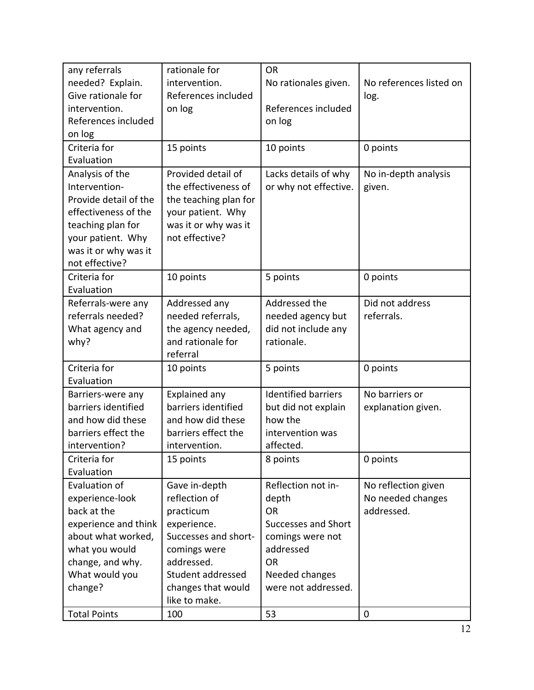| any referrals         | rationale for         | <b>OR</b>                  |                         |
|-----------------------|-----------------------|----------------------------|-------------------------|
| needed? Explain.      | intervention.         | No rationales given.       | No references listed on |
| Give rationale for    | References included   |                            | log.                    |
| intervention.         | on log                | References included        |                         |
| References included   |                       | on log                     |                         |
| on log                |                       |                            |                         |
| Criteria for          | 15 points             | 10 points                  | 0 points                |
| Evaluation            |                       |                            |                         |
| Analysis of the       | Provided detail of    | Lacks details of why       | No in-depth analysis    |
| Intervention-         | the effectiveness of  | or why not effective.      | given.                  |
| Provide detail of the | the teaching plan for |                            |                         |
| effectiveness of the  | your patient. Why     |                            |                         |
| teaching plan for     | was it or why was it  |                            |                         |
| your patient. Why     | not effective?        |                            |                         |
| was it or why was it  |                       |                            |                         |
| not effective?        |                       |                            |                         |
| Criteria for          | 10 points             | 5 points                   | 0 points                |
| Evaluation            |                       |                            |                         |
| Referrals-were any    | Addressed any         | Addressed the              | Did not address         |
| referrals needed?     | needed referrals,     | needed agency but          | referrals.              |
| What agency and       | the agency needed,    | did not include any        |                         |
| why?                  | and rationale for     | rationale.                 |                         |
|                       | referral              |                            |                         |
| Criteria for          | 10 points             | 5 points                   | 0 points                |
| Evaluation            |                       |                            |                         |
| Barriers-were any     | <b>Explained any</b>  | <b>Identified barriers</b> | No barriers or          |
| barriers identified   | barriers identified   | but did not explain        | explanation given.      |
| and how did these     | and how did these     | how the                    |                         |
| barriers effect the   | barriers effect the   | intervention was           |                         |
| intervention?         | intervention.         | affected.                  |                         |
| Criteria for          | 15 points             | 8 points                   | 0 points                |
| Evaluation            |                       |                            |                         |
| Evaluation of         | Gave in-depth         | Reflection not in-         | No reflection given     |
| experience-look       | reflection of         | depth                      | No needed changes       |
| back at the           | practicum             | <b>OR</b>                  | addressed.              |
| experience and think  | experience.           | <b>Successes and Short</b> |                         |
| about what worked,    | Successes and short-  | comings were not           |                         |
| what you would        | comings were          | addressed                  |                         |
| change, and why.      | addressed.            | <b>OR</b>                  |                         |
| What would you        | Student addressed     | Needed changes             |                         |
| change?               | changes that would    | were not addressed.        |                         |
|                       | like to make.         |                            |                         |
| <b>Total Points</b>   | 100                   | 53                         | 0                       |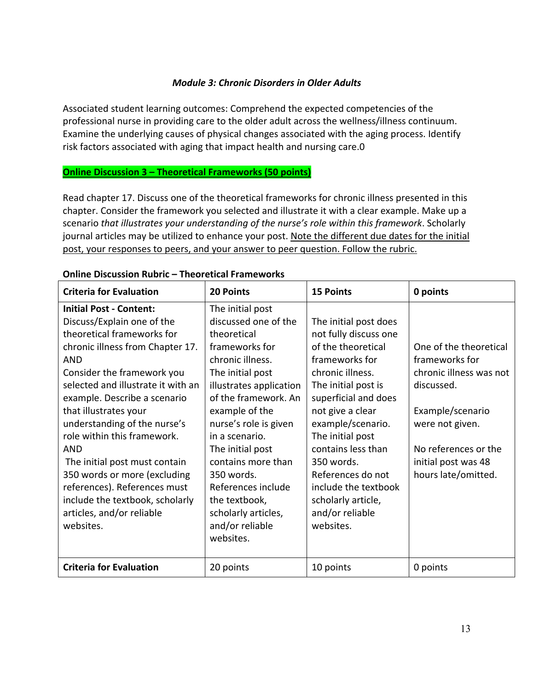## *Module 3: Chronic Disorders in Older Adults*

Associated student learning outcomes: Comprehend the expected competencies of the professional nurse in providing care to the older adult across the wellness/illness continuum. Examine the underlying causes of physical changes associated with the aging process. Identify risk factors associated with aging that impact health and nursing care.0

## **Online Discussion 3 – Theoretical Frameworks (50 points)**

Read chapter 17. Discuss one of the theoretical frameworks for chronic illness presented in this chapter. Consider the framework you selected and illustrate it with a clear example. Make up a scenario *that illustrates your understanding of the nurse's role within this framework*. Scholarly journal articles may be utilized to enhance your post. Note the different due dates for the initial post, your responses to peers, and your answer to peer question. Follow the rubric.

| <b>Criteria for Evaluation</b>     | <b>20 Points</b>        | <b>15 Points</b>      | 0 points                |
|------------------------------------|-------------------------|-----------------------|-------------------------|
| <b>Initial Post - Content:</b>     | The initial post        |                       |                         |
| Discuss/Explain one of the         | discussed one of the    | The initial post does |                         |
| theoretical frameworks for         | theoretical             | not fully discuss one |                         |
| chronic illness from Chapter 17.   | frameworks for          | of the theoretical    | One of the theoretical  |
| <b>AND</b>                         | chronic illness.        | frameworks for        | frameworks for          |
| Consider the framework you         | The initial post        | chronic illness.      | chronic illness was not |
| selected and illustrate it with an | illustrates application | The initial post is   | discussed.              |
| example. Describe a scenario       | of the framework. An    | superficial and does  |                         |
| that illustrates your              | example of the          | not give a clear      | Example/scenario        |
| understanding of the nurse's       | nurse's role is given   | example/scenario.     | were not given.         |
| role within this framework.        | in a scenario.          | The initial post      |                         |
| <b>AND</b>                         | The initial post        | contains less than    | No references or the    |
| The initial post must contain      | contains more than      | 350 words.            | initial post was 48     |
| 350 words or more (excluding       | 350 words.              | References do not     | hours late/omitted.     |
| references). References must       | References include      | include the textbook  |                         |
| include the textbook, scholarly    | the textbook,           | scholarly article,    |                         |
| articles, and/or reliable          | scholarly articles,     | and/or reliable       |                         |
| websites.                          | and/or reliable         | websites.             |                         |
|                                    | websites.               |                       |                         |
|                                    |                         |                       |                         |
| <b>Criteria for Evaluation</b>     | 20 points               | 10 points             | 0 points                |

#### **Online Discussion Rubric – Theoretical Frameworks**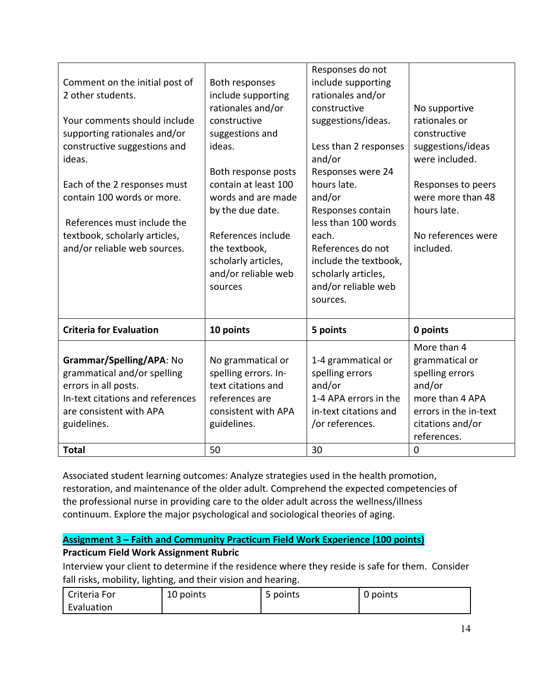| Comment on the initial post of<br>2 other students.<br>Your comments should include<br>supporting rationales and/or                                           | Both responses<br>include supporting<br>rationales and/or<br>constructive<br>suggestions and                            | Responses do not<br>include supporting<br>rationales and/or<br>constructive<br>suggestions/ideas.                    | No supportive<br>rationales or<br>constructive                                                                                            |
|---------------------------------------------------------------------------------------------------------------------------------------------------------------|-------------------------------------------------------------------------------------------------------------------------|----------------------------------------------------------------------------------------------------------------------|-------------------------------------------------------------------------------------------------------------------------------------------|
| constructive suggestions and<br>ideas.                                                                                                                        | ideas.<br>Both response posts                                                                                           | Less than 2 responses<br>and/or<br>Responses were 24                                                                 | suggestions/ideas<br>were included.                                                                                                       |
| Each of the 2 responses must<br>contain 100 words or more.<br>References must include the                                                                     | contain at least 100<br>words and are made<br>by the due date.                                                          | hours late.<br>and/or<br>Responses contain<br>less than 100 words                                                    | Responses to peers<br>were more than 48<br>hours late.                                                                                    |
| textbook, scholarly articles,<br>and/or reliable web sources.                                                                                                 | References include<br>the textbook,<br>scholarly articles,<br>and/or reliable web<br>sources                            | each.<br>References do not<br>include the textbook,<br>scholarly articles,<br>and/or reliable web<br>sources.        | No references were<br>included.                                                                                                           |
| <b>Criteria for Evaluation</b>                                                                                                                                | 10 points                                                                                                               | 5 points                                                                                                             | 0 points                                                                                                                                  |
| Grammar/Spelling/APA: No<br>grammatical and/or spelling<br>errors in all posts.<br>In-text citations and references<br>are consistent with APA<br>guidelines. | No grammatical or<br>spelling errors. In-<br>text citations and<br>references are<br>consistent with APA<br>guidelines. | 1-4 grammatical or<br>spelling errors<br>and/or<br>1-4 APA errors in the<br>in-text citations and<br>/or references. | More than 4<br>grammatical or<br>spelling errors<br>and/or<br>more than 4 APA<br>errors in the in-text<br>citations and/or<br>references. |
| <b>Total</b>                                                                                                                                                  | 50                                                                                                                      | 30                                                                                                                   | $\mathbf 0$                                                                                                                               |

Associated student learning outcomes: Analyze strategies used in the health promotion, restoration, and maintenance of the older adult. Comprehend the expected competencies of the professional nurse in providing care to the older adult across the wellness/illness continuum. Explore the major psychological and sociological theories of aging.

# **Assignment 3 – Faith and Community Practicum Field Work Experience (100 points)**

# **Practicum Field Work Assignment Rubric**

Interview your client to determine if the residence where they reside is safe for them. Consider fall risks, mobility, lighting, and their vision and hearing.

| Criteria For | 10 points | points<br>ے | 0 points |
|--------------|-----------|-------------|----------|
| Evaluation   |           |             |          |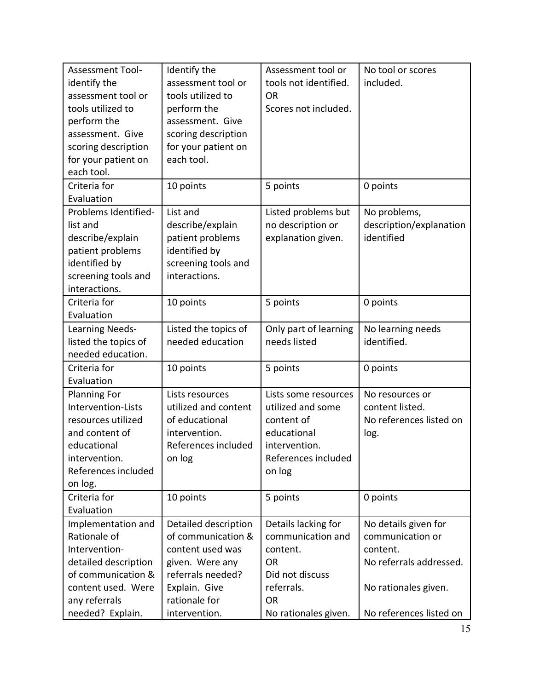| <b>Assessment Tool-</b><br>identify the<br>assessment tool or<br>tools utilized to<br>perform the<br>assessment. Give<br>scoring description<br>for your patient on<br>each tool. | Identify the<br>assessment tool or<br>tools utilized to<br>perform the<br>assessment. Give<br>scoring description<br>for your patient on<br>each tool. | Assessment tool or<br>tools not identified.<br><b>OR</b><br>Scores not included.                                         | No tool or scores<br>included.                                                                          |
|-----------------------------------------------------------------------------------------------------------------------------------------------------------------------------------|--------------------------------------------------------------------------------------------------------------------------------------------------------|--------------------------------------------------------------------------------------------------------------------------|---------------------------------------------------------------------------------------------------------|
| Criteria for<br>Evaluation                                                                                                                                                        | 10 points                                                                                                                                              | 5 points                                                                                                                 | 0 points                                                                                                |
| Problems Identified-<br>list and<br>describe/explain<br>patient problems<br>identified by<br>screening tools and<br>interactions.                                                 | List and<br>describe/explain<br>patient problems<br>identified by<br>screening tools and<br>interactions.                                              | Listed problems but<br>no description or<br>explanation given.                                                           | No problems,<br>description/explanation<br>identified                                                   |
| Criteria for<br>Evaluation                                                                                                                                                        | 10 points                                                                                                                                              | 5 points                                                                                                                 | 0 points                                                                                                |
| Learning Needs-<br>listed the topics of<br>needed education.                                                                                                                      | Listed the topics of<br>needed education                                                                                                               | Only part of learning<br>needs listed                                                                                    | No learning needs<br>identified.                                                                        |
| Criteria for<br>Evaluation                                                                                                                                                        | 10 points                                                                                                                                              | 5 points                                                                                                                 | 0 points                                                                                                |
| <b>Planning For</b><br>Intervention-Lists<br>resources utilized<br>and content of<br>educational<br>intervention.<br>References included<br>on log.                               | Lists resources<br>utilized and content<br>of educational<br>intervention.<br>References included<br>on log                                            | Lists some resources<br>utilized and some<br>content of<br>educational<br>intervention.<br>References included<br>on log | No resources or<br>content listed.<br>No references listed on<br>log.                                   |
| Criteria for<br>Evaluation                                                                                                                                                        | 10 points                                                                                                                                              | 5 points                                                                                                                 | 0 points                                                                                                |
| Implementation and<br>Rationale of<br>Intervention-<br>detailed description<br>of communication &<br>content used. Were                                                           | Detailed description<br>of communication &<br>content used was<br>given. Were any<br>referrals needed?<br>Explain. Give                                | Details lacking for<br>communication and<br>content.<br><b>OR</b><br>Did not discuss<br>referrals.                       | No details given for<br>communication or<br>content.<br>No referrals addressed.<br>No rationales given. |
| any referrals<br>needed? Explain.                                                                                                                                                 | rationale for<br>intervention.                                                                                                                         | <b>OR</b><br>No rationales given.                                                                                        | No references listed on                                                                                 |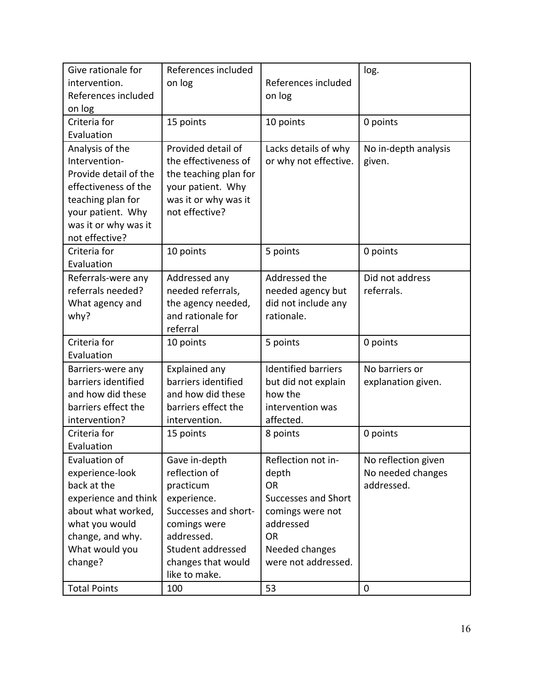| Give rationale for    | References included   |                            | log.                 |
|-----------------------|-----------------------|----------------------------|----------------------|
| intervention.         | on log                | References included        |                      |
| References included   |                       | on log                     |                      |
| on log                |                       |                            |                      |
| Criteria for          | 15 points             | 10 points                  | 0 points             |
| Evaluation            |                       |                            |                      |
| Analysis of the       | Provided detail of    | Lacks details of why       | No in-depth analysis |
| Intervention-         | the effectiveness of  | or why not effective.      | given.               |
| Provide detail of the | the teaching plan for |                            |                      |
| effectiveness of the  | your patient. Why     |                            |                      |
| teaching plan for     | was it or why was it  |                            |                      |
| your patient. Why     | not effective?        |                            |                      |
| was it or why was it  |                       |                            |                      |
| not effective?        |                       |                            |                      |
| Criteria for          | 10 points             | 5 points                   | 0 points             |
| Evaluation            |                       |                            |                      |
| Referrals-were any    | Addressed any         | Addressed the              | Did not address      |
| referrals needed?     | needed referrals,     | needed agency but          | referrals.           |
| What agency and       | the agency needed,    | did not include any        |                      |
| why?                  | and rationale for     | rationale.                 |                      |
|                       | referral              |                            |                      |
| Criteria for          | 10 points             | 5 points                   | 0 points             |
| Evaluation            |                       |                            |                      |
| Barriers-were any     | Explained any         | <b>Identified barriers</b> | No barriers or       |
| barriers identified   | barriers identified   | but did not explain        | explanation given.   |
| and how did these     | and how did these     | how the                    |                      |
| barriers effect the   | barriers effect the   | intervention was           |                      |
| intervention?         | intervention.         | affected.                  |                      |
| Criteria for          | 15 points             | 8 points                   | 0 points             |
| Evaluation            |                       |                            |                      |
| Evaluation of         | Gave in-depth         | Reflection not in-         | No reflection given  |
| experience-look       | reflection of         | depth                      | No needed changes    |
| back at the           | practicum             | <b>OR</b>                  | addressed.           |
| experience and think  | experience.           | <b>Successes and Short</b> |                      |
| about what worked,    | Successes and short-  | comings were not           |                      |
| what you would        | comings were          | addressed                  |                      |
| change, and why.      | addressed.            | OR                         |                      |
| What would you        | Student addressed     | Needed changes             |                      |
| change?               | changes that would    | were not addressed.        |                      |
|                       | like to make.         |                            |                      |
| <b>Total Points</b>   | 100                   | 53                         | 0                    |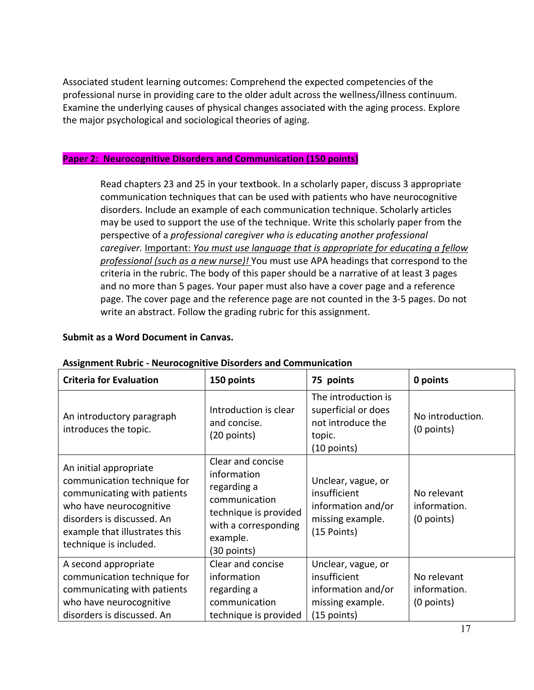Associated student learning outcomes: Comprehend the expected competencies of the professional nurse in providing care to the older adult across the wellness/illness continuum. Examine the underlying causes of physical changes associated with the aging process. Explore the major psychological and sociological theories of aging.

#### **Paper 2: Neurocognitive Disorders and Communication (150 points)**

Read chapters 23 and 25 in your textbook. In a scholarly paper, discuss 3 appropriate communication techniques that can be used with patients who have neurocognitive disorders. Include an example of each communication technique. Scholarly articles may be used to support the use of the technique. Write this scholarly paper from the perspective of a *professional caregiver who is educating another professional caregiver.* Important: *You must use language that is appropriate for educating a fellow professional (such as a new nurse)!* You must use APA headings that correspond to the criteria in the rubric. The body of this paper should be a narrative of at least 3 pages and no more than 5 pages. Your paper must also have a cover page and a reference page. The cover page and the reference page are not counted in the 3-5 pages. Do not write an abstract. Follow the grading rubric for this assignment.

#### **Submit as a Word Document in Canvas.**

| <b>Criteria for Evaluation</b>                                                                                                                                                                           | 150 points                                                                                                                                   | 75 points                                                                                     | 0 points                                    |
|----------------------------------------------------------------------------------------------------------------------------------------------------------------------------------------------------------|----------------------------------------------------------------------------------------------------------------------------------------------|-----------------------------------------------------------------------------------------------|---------------------------------------------|
| An introductory paragraph<br>introduces the topic.                                                                                                                                                       | Introduction is clear<br>and concise.<br>(20 points)                                                                                         | The introduction is<br>superficial or does<br>not introduce the<br>topic.<br>$(10$ points)    | No introduction.<br>(0 points)              |
| An initial appropriate<br>communication technique for<br>communicating with patients<br>who have neurocognitive<br>disorders is discussed. An<br>example that illustrates this<br>technique is included. | Clear and concise<br>information<br>regarding a<br>communication<br>technique is provided<br>with a corresponding<br>example.<br>(30 points) | Unclear, vague, or<br>insufficient<br>information and/or<br>missing example.<br>(15 Points)   | No relevant<br>information.<br>$(0$ points) |
| A second appropriate<br>communication technique for<br>communicating with patients<br>who have neurocognitive<br>disorders is discussed. An                                                              | Clear and concise<br>information<br>regarding a<br>communication<br>technique is provided                                                    | Unclear, vague, or<br>insufficient<br>information and/or<br>missing example.<br>$(15$ points) | No relevant<br>information.<br>$(0$ points) |

#### **Assignment Rubric - Neurocognitive Disorders and Communication**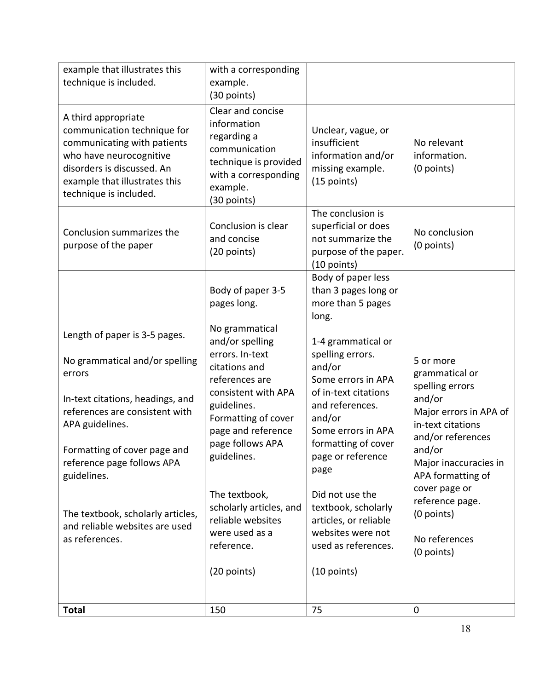| example that illustrates this<br>technique is included.                                                                                                                                                                                                                                                                                  | with a corresponding<br>example.<br>(30 points)                                                                                                                                                                                                                                                                               |                                                                                                                                                                                                                                                                                                                                     |                                                                                                                                                                                                                                                                       |
|------------------------------------------------------------------------------------------------------------------------------------------------------------------------------------------------------------------------------------------------------------------------------------------------------------------------------------------|-------------------------------------------------------------------------------------------------------------------------------------------------------------------------------------------------------------------------------------------------------------------------------------------------------------------------------|-------------------------------------------------------------------------------------------------------------------------------------------------------------------------------------------------------------------------------------------------------------------------------------------------------------------------------------|-----------------------------------------------------------------------------------------------------------------------------------------------------------------------------------------------------------------------------------------------------------------------|
| A third appropriate<br>communication technique for<br>communicating with patients<br>who have neurocognitive<br>disorders is discussed. An<br>example that illustrates this<br>technique is included.                                                                                                                                    | Clear and concise<br>information<br>regarding a<br>communication<br>technique is provided<br>with a corresponding<br>example.<br>(30 points)                                                                                                                                                                                  | Unclear, vague, or<br>insufficient<br>information and/or<br>missing example.<br>(15 points)                                                                                                                                                                                                                                         | No relevant<br>information.<br>(0 points)                                                                                                                                                                                                                             |
| Conclusion summarizes the<br>purpose of the paper                                                                                                                                                                                                                                                                                        | Conclusion is clear<br>and concise<br>(20 points)                                                                                                                                                                                                                                                                             | The conclusion is<br>superficial or does<br>not summarize the<br>purpose of the paper.<br>(10 points)                                                                                                                                                                                                                               | No conclusion<br>(0 points)                                                                                                                                                                                                                                           |
|                                                                                                                                                                                                                                                                                                                                          | Body of paper 3-5<br>pages long.                                                                                                                                                                                                                                                                                              | Body of paper less<br>than 3 pages long or<br>more than 5 pages<br>long.                                                                                                                                                                                                                                                            |                                                                                                                                                                                                                                                                       |
| Length of paper is 3-5 pages.<br>No grammatical and/or spelling<br>errors<br>In-text citations, headings, and<br>references are consistent with<br>APA guidelines.<br>Formatting of cover page and<br>reference page follows APA<br>guidelines.<br>The textbook, scholarly articles,<br>and reliable websites are used<br>as references. | No grammatical<br>and/or spelling<br>errors. In-text<br>citations and<br>references are<br>consistent with APA<br>guidelines.<br>Formatting of cover<br>page and reference<br>page follows APA<br>guidelines.<br>The textbook,<br>scholarly articles, and<br>reliable websites<br>were used as a<br>reference.<br>(20 points) | 1-4 grammatical or<br>spelling errors.<br>and/or<br>Some errors in APA<br>of in-text citations<br>and references.<br>and/or<br>Some errors in APA<br>formatting of cover<br>page or reference<br>page<br>Did not use the<br>textbook, scholarly<br>articles, or reliable<br>websites were not<br>used as references.<br>(10 points) | 5 or more<br>grammatical or<br>spelling errors<br>and/or<br>Major errors in APA of<br>in-text citations<br>and/or references<br>and/or<br>Major inaccuracies in<br>APA formatting of<br>cover page or<br>reference page.<br>(0 points)<br>No references<br>(0 points) |
|                                                                                                                                                                                                                                                                                                                                          |                                                                                                                                                                                                                                                                                                                               |                                                                                                                                                                                                                                                                                                                                     |                                                                                                                                                                                                                                                                       |
| <b>Total</b>                                                                                                                                                                                                                                                                                                                             | 150                                                                                                                                                                                                                                                                                                                           | 75                                                                                                                                                                                                                                                                                                                                  | 0                                                                                                                                                                                                                                                                     |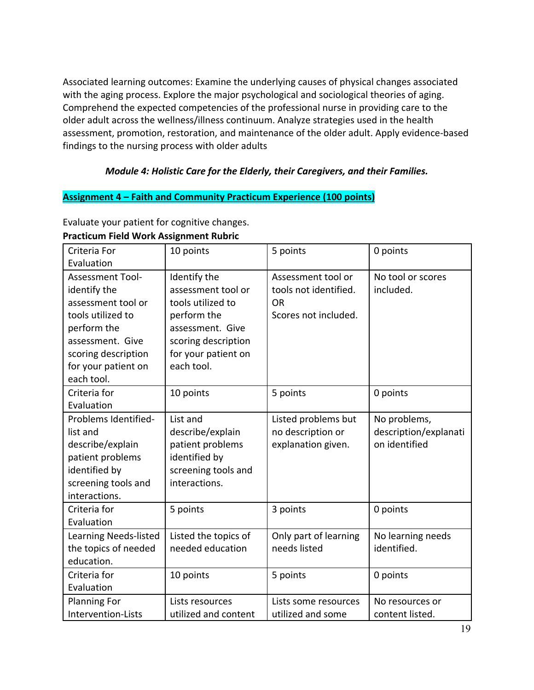Associated learning outcomes: Examine the underlying causes of physical changes associated with the aging process. Explore the major psychological and sociological theories of aging. Comprehend the expected competencies of the professional nurse in providing care to the older adult across the wellness/illness continuum. Analyze strategies used in the health assessment, promotion, restoration, and maintenance of the older adult. Apply evidence-based findings to the nursing process with older adults

# *Module 4: Holistic Care for the Elderly, their Caregivers, and their Families.*

# **Assignment 4 – Faith and Community Practicum Experience (100 points)**

| Criteria For          | 10 points            | 5 points              | 0 points              |
|-----------------------|----------------------|-----------------------|-----------------------|
| Evaluation            |                      |                       |                       |
| Assessment Tool-      | Identify the         | Assessment tool or    | No tool or scores     |
| identify the          | assessment tool or   | tools not identified. | included.             |
| assessment tool or    | tools utilized to    | <b>OR</b>             |                       |
| tools utilized to     | perform the          | Scores not included.  |                       |
| perform the           | assessment. Give     |                       |                       |
| assessment. Give      | scoring description  |                       |                       |
| scoring description   | for your patient on  |                       |                       |
| for your patient on   | each tool.           |                       |                       |
| each tool.            |                      |                       |                       |
| Criteria for          | 10 points            | 5 points              | 0 points              |
| Evaluation            |                      |                       |                       |
| Problems Identified-  | List and             | Listed problems but   | No problems,          |
| list and              | describe/explain     | no description or     | description/explanati |
| describe/explain      | patient problems     | explanation given.    | on identified         |
| patient problems      | identified by        |                       |                       |
| identified by         | screening tools and  |                       |                       |
| screening tools and   | interactions.        |                       |                       |
| interactions.         |                      |                       |                       |
| Criteria for          | 5 points             | 3 points              | 0 points              |
| Evaluation            |                      |                       |                       |
| Learning Needs-listed | Listed the topics of | Only part of learning | No learning needs     |
| the topics of needed  | needed education     | needs listed          | identified.           |
| education.            |                      |                       |                       |
| Criteria for          | 10 points            | 5 points              | 0 points              |
| Evaluation            |                      |                       |                       |
| <b>Planning For</b>   | Lists resources      | Lists some resources  | No resources or       |
| Intervention-Lists    | utilized and content | utilized and some     | content listed.       |

Evaluate your patient for cognitive changes. **Practicum Field Work Assignment Rubric**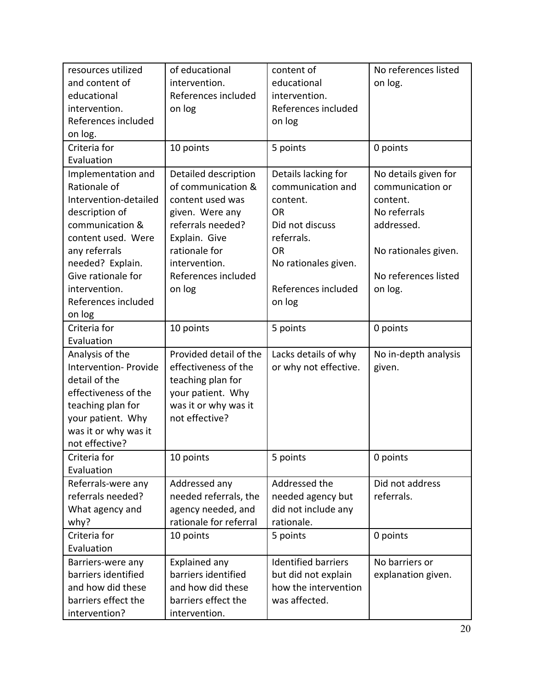| resources utilized    | of educational         | content of                 | No references listed |
|-----------------------|------------------------|----------------------------|----------------------|
| and content of        | intervention.          | educational                | on log.              |
| educational           | References included    | intervention.              |                      |
| intervention.         | on log                 | References included        |                      |
| References included   |                        | on log                     |                      |
| on log.               |                        |                            |                      |
| Criteria for          | 10 points              | 5 points                   | 0 points             |
| Evaluation            |                        |                            |                      |
| Implementation and    | Detailed description   | Details lacking for        | No details given for |
| Rationale of          | of communication &     | communication and          | communication or     |
| Intervention-detailed | content used was       | content.                   | content.             |
| description of        | given. Were any        | <b>OR</b>                  | No referrals         |
| communication &       | referrals needed?      | Did not discuss            | addressed.           |
| content used. Were    | Explain. Give          | referrals.                 |                      |
| any referrals         | rationale for          | <b>OR</b>                  | No rationales given. |
| needed? Explain.      | intervention.          | No rationales given.       |                      |
| Give rationale for    | References included    |                            | No references listed |
| intervention.         | on log                 | References included        | on log.              |
| References included   |                        | on log                     |                      |
| on log                |                        |                            |                      |
| Criteria for          | 10 points              | 5 points                   | 0 points             |
| Evaluation            |                        |                            |                      |
| Analysis of the       | Provided detail of the | Lacks details of why       | No in-depth analysis |
| Intervention- Provide | effectiveness of the   | or why not effective.      | given.               |
| detail of the         | teaching plan for      |                            |                      |
| effectiveness of the  | your patient. Why      |                            |                      |
| teaching plan for     | was it or why was it   |                            |                      |
| your patient. Why     | not effective?         |                            |                      |
| was it or why was it  |                        |                            |                      |
| not effective?        |                        |                            |                      |
| Criteria for          | 10 points              | 5 points                   | 0 points             |
| Evaluation            |                        |                            |                      |
| Referrals-were any    | Addressed any          | Addressed the              | Did not address      |
| referrals needed?     | needed referrals, the  | needed agency but          | referrals.           |
| What agency and       | agency needed, and     | did not include any        |                      |
| why?                  | rationale for referral | rationale.                 |                      |
| Criteria for          | 10 points              | 5 points                   | 0 points             |
| Evaluation            |                        |                            |                      |
| Barriers-were any     | Explained any          | <b>Identified barriers</b> | No barriers or       |
| barriers identified   | barriers identified    | but did not explain        | explanation given.   |
| and how did these     | and how did these      | how the intervention       |                      |
| barriers effect the   | barriers effect the    | was affected.              |                      |
| intervention?         | intervention.          |                            |                      |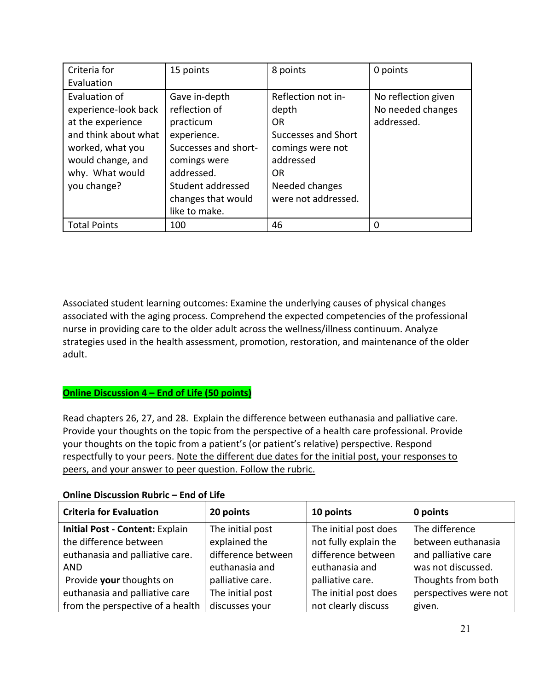| Criteria for<br>Evaluation                                                                                                                                    | 15 points                                                                                                                                                                    | 8 points                                                                                                                                               | 0 points                                               |
|---------------------------------------------------------------------------------------------------------------------------------------------------------------|------------------------------------------------------------------------------------------------------------------------------------------------------------------------------|--------------------------------------------------------------------------------------------------------------------------------------------------------|--------------------------------------------------------|
| Evaluation of<br>experience-look back<br>at the experience<br>and think about what<br>worked, what you<br>would change, and<br>why. What would<br>you change? | Gave in-depth<br>reflection of<br>practicum<br>experience.<br>Successes and short-<br>comings were<br>addressed.<br>Student addressed<br>changes that would<br>like to make. | Reflection not in-<br>depth<br><b>OR</b><br>Successes and Short<br>comings were not<br>addressed<br><b>OR</b><br>Needed changes<br>were not addressed. | No reflection given<br>No needed changes<br>addressed. |
| <b>Total Points</b>                                                                                                                                           | 100                                                                                                                                                                          | 46                                                                                                                                                     |                                                        |

Associated student learning outcomes: Examine the underlying causes of physical changes associated with the aging process. Comprehend the expected competencies of the professional nurse in providing care to the older adult across the wellness/illness continuum. Analyze strategies used in the health assessment, promotion, restoration, and maintenance of the older adult.

# **Online Discussion 4 – End of Life (50 points)**

Read chapters 26, 27, and 28. Explain the difference between euthanasia and palliative care. Provide your thoughts on the topic from the perspective of a health care professional. Provide your thoughts on the topic from a patient's (or patient's relative) perspective. Respond respectfully to your peers. Note the different due dates for the initial post, your responses to peers, and your answer to peer question. Follow the rubric.

| <b>Criteria for Evaluation</b>   | 20 points          | 10 points             | 0 points              |
|----------------------------------|--------------------|-----------------------|-----------------------|
| Initial Post - Content: Explain  | The initial post   | The initial post does | The difference        |
| the difference between           | explained the      | not fully explain the | between euthanasia    |
| euthanasia and palliative care.  | difference between | difference between    | and palliative care   |
| <b>AND</b>                       | euthanasia and     | euthanasia and        | was not discussed.    |
| Provide your thoughts on         | palliative care.   | palliative care.      | Thoughts from both    |
| euthanasia and palliative care   | The initial post   | The initial post does | perspectives were not |
| from the perspective of a health | discusses your     | not clearly discuss   | given.                |

## **Online Discussion Rubric – End of Life**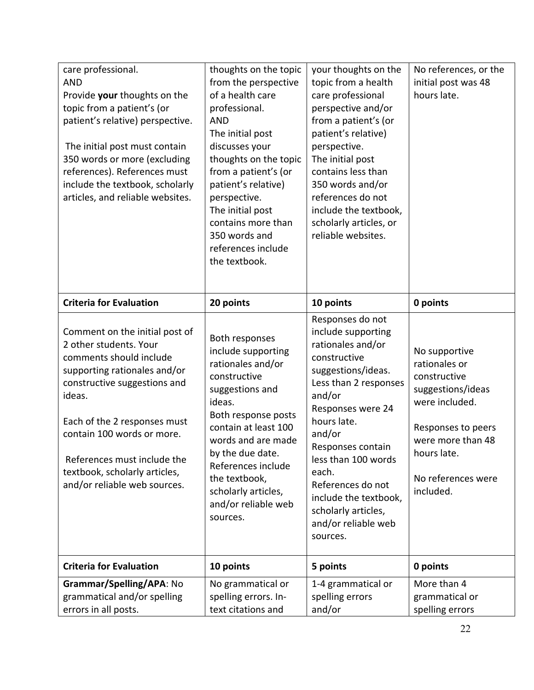| care professional.<br><b>AND</b><br>Provide your thoughts on the<br>topic from a patient's (or<br>patient's relative) perspective.<br>The initial post must contain<br>350 words or more (excluding<br>references). References must<br>include the textbook, scholarly<br>articles, and reliable websites.                  | thoughts on the topic<br>from the perspective<br>of a health care<br>professional.<br><b>AND</b><br>The initial post<br>discusses your<br>thoughts on the topic<br>from a patient's (or<br>patient's relative)<br>perspective.<br>The initial post<br>contains more than<br>350 words and<br>references include<br>the textbook. | your thoughts on the<br>topic from a health<br>care professional<br>perspective and/or<br>from a patient's (or<br>patient's relative)<br>perspective.<br>The initial post<br>contains less than<br>350 words and/or<br>references do not<br>include the textbook,<br>scholarly articles, or<br>reliable websites.                               | No references, or the<br>initial post was 48<br>hours late.                                                                                                                        |
|-----------------------------------------------------------------------------------------------------------------------------------------------------------------------------------------------------------------------------------------------------------------------------------------------------------------------------|----------------------------------------------------------------------------------------------------------------------------------------------------------------------------------------------------------------------------------------------------------------------------------------------------------------------------------|-------------------------------------------------------------------------------------------------------------------------------------------------------------------------------------------------------------------------------------------------------------------------------------------------------------------------------------------------|------------------------------------------------------------------------------------------------------------------------------------------------------------------------------------|
| <b>Criteria for Evaluation</b>                                                                                                                                                                                                                                                                                              | 20 points                                                                                                                                                                                                                                                                                                                        | 10 points                                                                                                                                                                                                                                                                                                                                       | 0 points                                                                                                                                                                           |
| Comment on the initial post of<br>2 other students. Your<br>comments should include<br>supporting rationales and/or<br>constructive suggestions and<br>ideas.<br>Each of the 2 responses must<br>contain 100 words or more.<br>References must include the<br>textbook, scholarly articles,<br>and/or reliable web sources. | Both responses<br>include supporting<br>rationales and/or<br>constructive<br>suggestions and<br>ideas.<br>Both response posts<br>contain at least 100<br>words and are made<br>by the due date.<br>References include<br>the textbook,<br>scholarly articles,<br>and/or reliable web<br>sources.                                 | Responses do not<br>include supporting<br>rationales and/or<br>constructive<br>suggestions/ideas.<br>Less than 2 responses<br>and/or<br>Responses were 24<br>hours late.<br>and/or<br>Responses contain<br>less than 100 words<br>each.<br>References do not<br>include the textbook,<br>scholarly articles,<br>and/or reliable web<br>sources. | No supportive<br>rationales or<br>constructive<br>suggestions/ideas<br>were included.<br>Responses to peers<br>were more than 48<br>hours late.<br>No references were<br>included. |
| <b>Criteria for Evaluation</b>                                                                                                                                                                                                                                                                                              | 10 points                                                                                                                                                                                                                                                                                                                        | 5 points                                                                                                                                                                                                                                                                                                                                        | 0 points                                                                                                                                                                           |
| Grammar/Spelling/APA: No<br>grammatical and/or spelling<br>errors in all posts.                                                                                                                                                                                                                                             | No grammatical or<br>spelling errors. In-<br>text citations and                                                                                                                                                                                                                                                                  | 1-4 grammatical or<br>spelling errors<br>and/or                                                                                                                                                                                                                                                                                                 | More than 4<br>grammatical or<br>spelling errors                                                                                                                                   |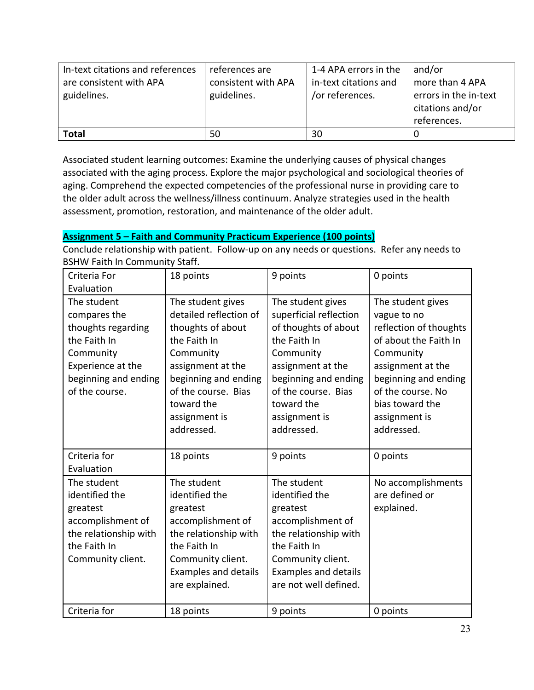| In-text citations and references | references are      | 1-4 APA errors in the | and/or                |
|----------------------------------|---------------------|-----------------------|-----------------------|
| are consistent with APA          | consistent with APA | in-text citations and | more than 4 APA       |
| guidelines.                      | guidelines.         | /or references.       | errors in the in-text |
|                                  |                     |                       | citations and/or      |
|                                  |                     |                       | references.           |
| <b>Total</b>                     | 50                  | 30                    |                       |

Associated student learning outcomes: Examine the underlying causes of physical changes associated with the aging process. Explore the major psychological and sociological theories of aging. Comprehend the expected competencies of the professional nurse in providing care to the older adult across the wellness/illness continuum. Analyze strategies used in the health assessment, promotion, restoration, and maintenance of the older adult.

# **Assignment 5 – Faith and Community Practicum Experience (100 points)**

Conclude relationship with patient. Follow-up on any needs or questions. Refer any needs to BSHW Faith In Community Staff.

| Criteria For          | 18 points                   | 9 points               | 0 points               |
|-----------------------|-----------------------------|------------------------|------------------------|
| Evaluation            |                             |                        |                        |
| The student           | The student gives           | The student gives      | The student gives      |
| compares the          | detailed reflection of      | superficial reflection | vague to no            |
| thoughts regarding    | thoughts of about           | of thoughts of about   | reflection of thoughts |
| the Faith In          | the Faith In                | the Faith In           | of about the Faith In  |
| Community             | Community                   | Community              | Community              |
| Experience at the     | assignment at the           | assignment at the      | assignment at the      |
| beginning and ending  | beginning and ending        | beginning and ending   | beginning and ending   |
| of the course.        | of the course. Bias         | of the course. Bias    | of the course. No      |
|                       | toward the                  | toward the             | bias toward the        |
|                       | assignment is               | assignment is          | assignment is          |
|                       | addressed.                  | addressed.             | addressed.             |
|                       |                             |                        |                        |
| Criteria for          | 18 points                   | 9 points               | 0 points               |
| Evaluation            |                             |                        |                        |
| The student           | The student                 | The student            | No accomplishments     |
| identified the        | identified the              | identified the         | are defined or         |
| greatest              | greatest                    | greatest               | explained.             |
| accomplishment of     | accomplishment of           | accomplishment of      |                        |
| the relationship with | the relationship with       | the relationship with  |                        |
| the Faith In          | the Faith In                | the Faith In           |                        |
| Community client.     | Community client.           | Community client.      |                        |
|                       | <b>Examples and details</b> | Examples and details   |                        |
|                       | are explained.              | are not well defined.  |                        |
|                       |                             |                        |                        |
| Criteria for          | 18 points                   | 9 points               | 0 points               |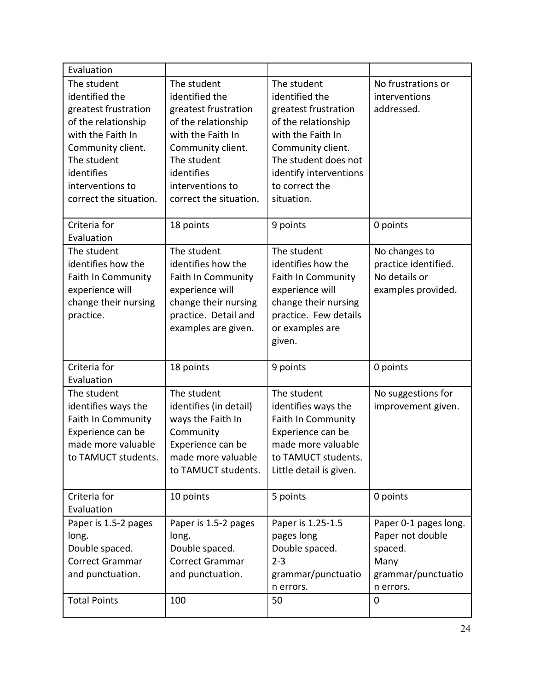| Evaluation                                                                                                                                                                                        |                                                                                                                                                                                                   |                                                                                                                                                                                                          |                                                                                                      |
|---------------------------------------------------------------------------------------------------------------------------------------------------------------------------------------------------|---------------------------------------------------------------------------------------------------------------------------------------------------------------------------------------------------|----------------------------------------------------------------------------------------------------------------------------------------------------------------------------------------------------------|------------------------------------------------------------------------------------------------------|
| The student<br>identified the<br>greatest frustration<br>of the relationship<br>with the Faith In<br>Community client.<br>The student<br>identifies<br>interventions to<br>correct the situation. | The student<br>identified the<br>greatest frustration<br>of the relationship<br>with the Faith In<br>Community client.<br>The student<br>identifies<br>interventions to<br>correct the situation. | The student<br>identified the<br>greatest frustration<br>of the relationship<br>with the Faith In<br>Community client.<br>The student does not<br>identify interventions<br>to correct the<br>situation. | No frustrations or<br>interventions<br>addressed.                                                    |
| Criteria for<br>Evaluation                                                                                                                                                                        | 18 points                                                                                                                                                                                         | 9 points                                                                                                                                                                                                 | 0 points                                                                                             |
| The student<br>identifies how the<br><b>Faith In Community</b><br>experience will<br>change their nursing<br>practice.                                                                            | The student<br>identifies how the<br><b>Faith In Community</b><br>experience will<br>change their nursing<br>practice. Detail and<br>examples are given.                                          | The student<br>identifies how the<br><b>Faith In Community</b><br>experience will<br>change their nursing<br>practice. Few details<br>or examples are<br>given.                                          | No changes to<br>practice identified.<br>No details or<br>examples provided.                         |
| Criteria for<br>Evaluation                                                                                                                                                                        | 18 points                                                                                                                                                                                         | 9 points                                                                                                                                                                                                 | 0 points                                                                                             |
| The student<br>identifies ways the<br><b>Faith In Community</b><br>Experience can be<br>made more valuable<br>to TAMUCT students.                                                                 | The student<br>identifies (in detail)<br>ways the Faith In<br>Community<br>Experience can be<br>made more valuable<br>to TAMUCT students.                                                         | The student<br>identifies ways the<br><b>Faith In Community</b><br>Experience can be<br>made more valuable<br>to TAMUCT students.<br>Little detail is given.                                             | No suggestions for<br>improvement given.                                                             |
| Criteria for<br>Evaluation                                                                                                                                                                        | 10 points                                                                                                                                                                                         | 5 points                                                                                                                                                                                                 | 0 points                                                                                             |
| Paper is 1.5-2 pages<br>long.<br>Double spaced.<br>Correct Grammar<br>and punctuation.<br><b>Total Points</b>                                                                                     | Paper is 1.5-2 pages<br>long.<br>Double spaced.<br>Correct Grammar<br>and punctuation.<br>100                                                                                                     | Paper is 1.25-1.5<br>pages long<br>Double spaced.<br>$2 - 3$<br>grammar/punctuatio<br>n errors.<br>50                                                                                                    | Paper 0-1 pages long.<br>Paper not double<br>spaced.<br>Many<br>grammar/punctuatio<br>n errors.<br>0 |
|                                                                                                                                                                                                   |                                                                                                                                                                                                   |                                                                                                                                                                                                          |                                                                                                      |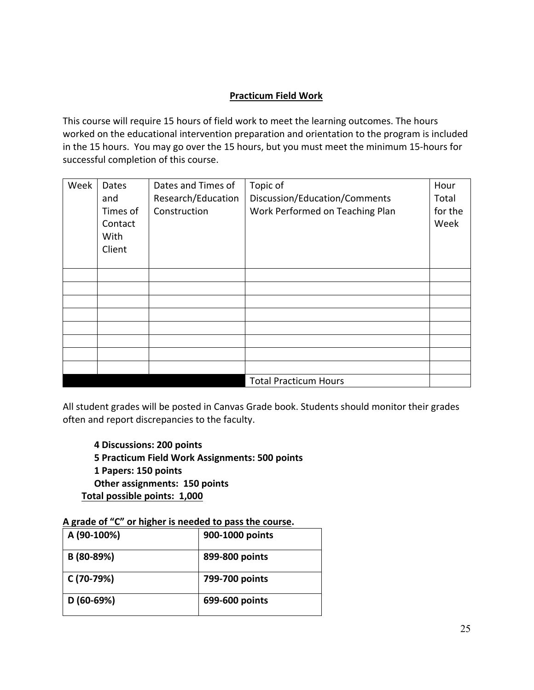# **Practicum Field Work**

This course will require 15 hours of field work to meet the learning outcomes. The hours worked on the educational intervention preparation and orientation to the program is included in the 15 hours. You may go over the 15 hours, but you must meet the minimum 15-hours for successful completion of this course.

| Week | Dates<br>and<br>Times of<br>Contact<br>With<br>Client | Dates and Times of<br>Research/Education<br>Construction | Topic of<br>Discussion/Education/Comments<br>Work Performed on Teaching Plan | Hour<br>Total<br>for the<br>Week |
|------|-------------------------------------------------------|----------------------------------------------------------|------------------------------------------------------------------------------|----------------------------------|
|      |                                                       |                                                          |                                                                              |                                  |
|      |                                                       |                                                          |                                                                              |                                  |
|      |                                                       |                                                          |                                                                              |                                  |
|      |                                                       |                                                          |                                                                              |                                  |
|      |                                                       |                                                          |                                                                              |                                  |
|      |                                                       |                                                          |                                                                              |                                  |
|      |                                                       |                                                          |                                                                              |                                  |
|      |                                                       |                                                          |                                                                              |                                  |
|      |                                                       |                                                          | <b>Total Practicum Hours</b>                                                 |                                  |

All student grades will be posted in Canvas Grade book. Students should monitor their grades often and report discrepancies to the faculty.

**4 Discussions: 200 points 5 Practicum Field Work Assignments: 500 points 1 Papers: 150 points Other assignments: 150 points Total possible points: 1,000**

**A grade of "C" or higher is needed to pass the course.**

| A (90-100%) | 900-1000 points |
|-------------|-----------------|
| B (80-89%)  | 899-800 points  |
| C (70-79%)  | 799-700 points  |
| $D(60-69%)$ | 699-600 points  |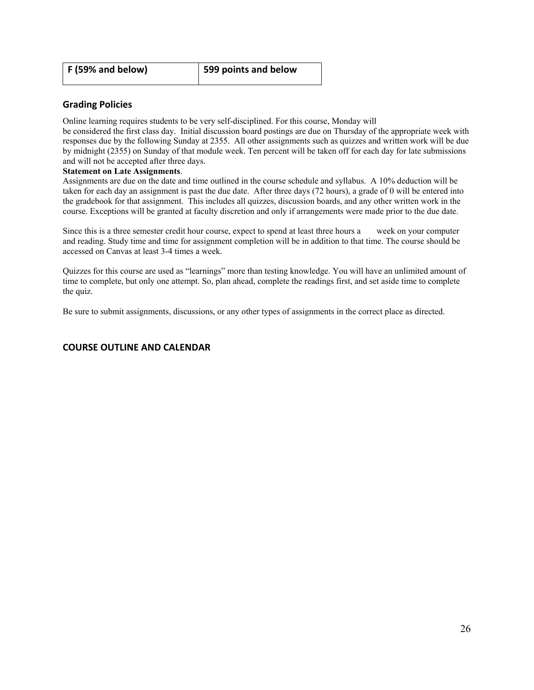| F (59% and below) | 599 points and below |
|-------------------|----------------------|
|-------------------|----------------------|

#### **Grading Policies**

Online learning requires students to be very self-disciplined. For this course, Monday will

be considered the first class day. Initial discussion board postings are due on Thursday of the appropriate week with responses due by the following Sunday at 2355. All other assignments such as quizzes and written work will be due by midnight (2355) on Sunday of that module week. Ten percent will be taken off for each day for late submissions and will not be accepted after three days.

#### **Statement on Late Assignments**.

Assignments are due on the date and time outlined in the course schedule and syllabus. A 10% deduction will be taken for each day an assignment is past the due date. After three days (72 hours), a grade of 0 will be entered into the gradebook for that assignment. This includes all quizzes, discussion boards, and any other written work in the course. Exceptions will be granted at faculty discretion and only if arrangements were made prior to the due date.

Since this is a three semester credit hour course, expect to spend at least three hours a week on your computer and reading. Study time and time for assignment completion will be in addition to that time. The course should be accessed on Canvas at least 3-4 times a week.

Quizzes for this course are used as "learnings" more than testing knowledge. You will have an unlimited amount of time to complete, but only one attempt. So, plan ahead, complete the readings first, and set aside time to complete the quiz.

Be sure to submit assignments, discussions, or any other types of assignments in the correct place as directed.

#### **COURSE OUTLINE AND CALENDAR**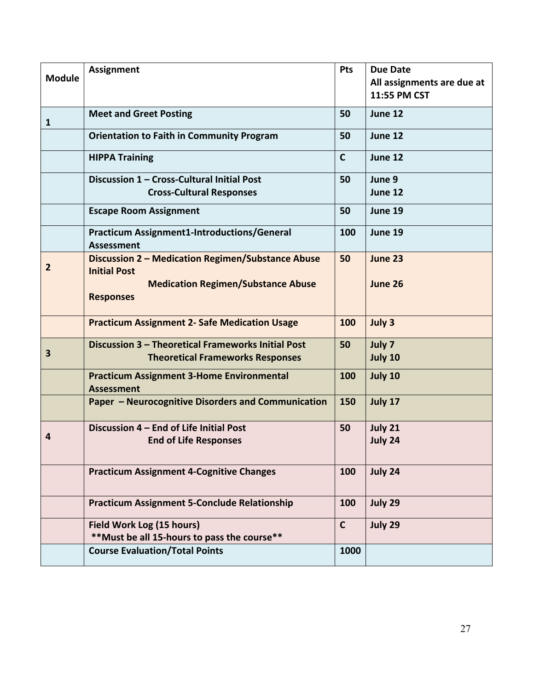| <b>Module</b>  | <b>Assignment</b>                                                                             | <b>Pts</b>   | <b>Due Date</b><br>All assignments are due at<br>11:55 PM CST |
|----------------|-----------------------------------------------------------------------------------------------|--------------|---------------------------------------------------------------|
| 1              | <b>Meet and Greet Posting</b>                                                                 | 50           | June 12                                                       |
|                | <b>Orientation to Faith in Community Program</b>                                              | 50           | June 12                                                       |
|                | <b>HIPPA Training</b>                                                                         | $\mathbf C$  | June 12                                                       |
|                | Discussion 1 - Cross-Cultural Initial Post<br><b>Cross-Cultural Responses</b>                 | 50           | June 9<br>June 12                                             |
|                | <b>Escape Room Assignment</b>                                                                 | 50           | June 19                                                       |
|                | <b>Practicum Assignment1-Introductions/General</b><br><b>Assessment</b>                       | 100          | June 19                                                       |
| $\overline{2}$ | Discussion 2 - Medication Regimen/Substance Abuse<br><b>Initial Post</b>                      | 50           | June 23                                                       |
|                | <b>Medication Regimen/Substance Abuse</b><br><b>Responses</b>                                 |              | June 26                                                       |
|                | <b>Practicum Assignment 2- Safe Medication Usage</b>                                          | 100          | July 3                                                        |
| 3              | Discussion 3 - Theoretical Frameworks Initial Post<br><b>Theoretical Frameworks Responses</b> | 50           | July 7<br>July 10                                             |
|                | <b>Practicum Assignment 3-Home Environmental</b><br><b>Assessment</b>                         | 100          | July 10                                                       |
|                | Paper - Neurocognitive Disorders and Communication                                            | 150          | July 17                                                       |
| 4              | Discussion 4 – End of Life Initial Post<br><b>End of Life Responses</b>                       | 50           | July 21<br>July 24                                            |
|                | <b>Practicum Assignment 4-Cognitive Changes</b>                                               | 100          | July 24                                                       |
|                | <b>Practicum Assignment 5-Conclude Relationship</b>                                           | 100          | July 29                                                       |
|                | Field Work Log (15 hours)<br>** Must be all 15-hours to pass the course**                     | $\mathsf{C}$ | July 29                                                       |
|                | <b>Course Evaluation/Total Points</b>                                                         | 1000         |                                                               |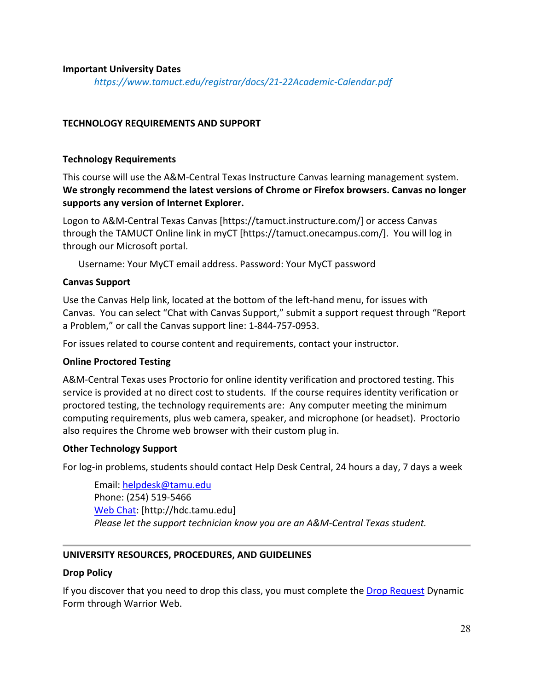#### **Important University Dates**

*https://www.tamuct.edu/registrar/docs/21-22Academic-Calendar.pdf*

#### **TECHNOLOGY REQUIREMENTS AND SUPPORT**

#### **Technology Requirements**

This course will use the A&M-Central Texas Instructure Canvas learning management system. **We strongly recommend the latest versions of Chrome or Firefox browsers. Canvas no longer supports any version of Internet Explorer.**

Logon to A&M-Central Texas Canvas [https://tamuct.instructure.com/] or access Canvas through the TAMUCT Online link in myCT [https://tamuct.onecampus.com/]. You will log in through our Microsoft portal.

Username: Your MyCT email address. Password: Your MyCT password

## **Canvas Support**

Use the Canvas Help link, located at the bottom of the left-hand menu, for issues with Canvas. You can select "Chat with Canvas Support," submit a support request through "Report a Problem," or call the Canvas support line: 1-844-757-0953.

For issues related to course content and requirements, contact your instructor.

## **Online Proctored Testing**

A&M-Central Texas uses Proctorio for online identity verification and proctored testing. This service is provided at no direct cost to students. If the course requires identity verification or proctored testing, the technology requirements are: Any computer meeting the minimum computing requirements, plus web camera, speaker, and microphone (or headset). Proctorio also requires the Chrome web browser with their custom plug in.

#### **Other Technology Support**

For log-in problems, students should contact Help Desk Central, 24 hours a day, 7 days a week

Email: [helpdesk@tamu.edu](mailto:helpdesk@tamu.edu) Phone: (254) 519-5466 [Web Chat:](http://hdc.tamu.edu/) [http://hdc.tamu.edu] *Please let the support technician know you are an A&M-Central Texas student.*

## **UNIVERSITY RESOURCES, PROCEDURES, AND GUIDELINES**

#### **Drop Policy**

If you discover that you need to drop this class, you must complete the [Drop Request](https://federation.ngwebsolutions.com/sp/startSSO.ping?PartnerIdpId=https://eis-prod.ec.tamuct.edu:443/samlsso&SpSessionAuthnAdapterId=tamuctDF&TargetResource=https%3a%2f%2fdynamicforms.ngwebsolutions.com%2fSubmit%2fStart%2f53b8369e-0502-4f36-be43-f02a4202f612) Dynamic Form through Warrior Web.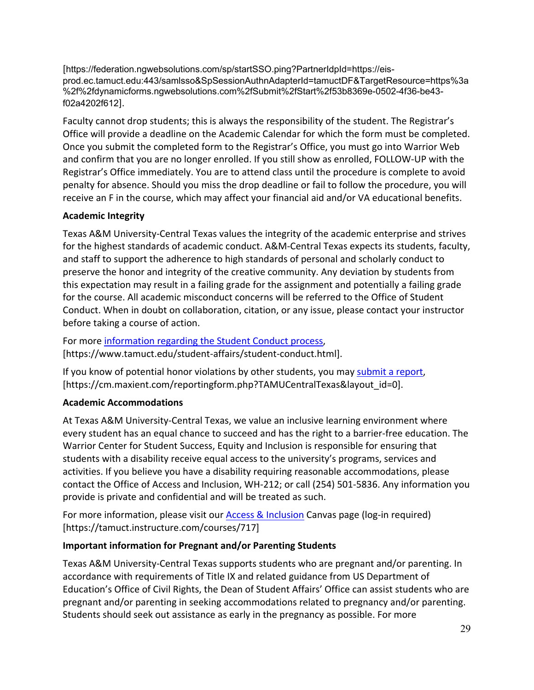[https://federation.ngwebsolutions.com/sp/startSSO.ping?PartnerIdpId=https://eisprod.ec.tamuct.edu:443/samlsso&SpSessionAuthnAdapterId=tamuctDF&TargetResource=https%3a %2f%2fdynamicforms.ngwebsolutions.com%2fSubmit%2fStart%2f53b8369e-0502-4f36-be43 f02a4202f612].

Faculty cannot drop students; this is always the responsibility of the student. The Registrar's Office will provide a deadline on the Academic Calendar for which the form must be completed. Once you submit the completed form to the Registrar's Office, you must go into Warrior Web and confirm that you are no longer enrolled. If you still show as enrolled, FOLLOW-UP with the Registrar's Office immediately. You are to attend class until the procedure is complete to avoid penalty for absence. Should you miss the drop deadline or fail to follow the procedure, you will receive an F in the course, which may affect your financial aid and/or VA educational benefits.

# **Academic Integrity**

Texas A&M University-Central Texas values the integrity of the academic enterprise and strives for the highest standards of academic conduct. A&M-Central Texas expects its students, faculty, and staff to support the adherence to high standards of personal and scholarly conduct to preserve the honor and integrity of the creative community. Any deviation by students from this expectation may result in a failing grade for the assignment and potentially a failing grade for the course. All academic misconduct concerns will be referred to the Office of Student Conduct. When in doubt on collaboration, citation, or any issue, please contact your instructor before taking a course of action.

For more [information](https://nam04.safelinks.protection.outlook.com/?url=https%3A%2F%2Fwww.tamuct.edu%2Fstudent-affairs%2Fstudent-conduct.html&data=04%7C01%7Clisa.bunkowski%40tamuct.edu%7Ccfb6e486f24745f53e1a08d910055cb2%7C9eed4e3000f744849ff193ad8005acec%7C0%7C0%7C637558437485252160%7CUnknown%7CTWFpbGZsb3d8eyJWIjoiMC4wLjAwMDAiLCJQIjoiV2luMzIiLCJBTiI6Ik1haWwiLCJXVCI6Mn0%3D%7C1000&sdata=yjftDEVHvLX%2FhM%2FcFU0B99krV1RgEWR%2BJ%2BhvtoR6TYk%3D&reserved=0) regarding the Student Conduct process, [https://www.tamuct.edu/student-affairs/student-conduct.html].

If you know of potential honor violations by other students, you may [submit](https://nam04.safelinks.protection.outlook.com/?url=https%3A%2F%2Fcm.maxient.com%2Freportingform.php%3FTAMUCentralTexas%26layout_id%3D0&data=04%7C01%7Clisa.bunkowski%40tamuct.edu%7Ccfb6e486f24745f53e1a08d910055cb2%7C9eed4e3000f744849ff193ad8005acec%7C0%7C0%7C637558437485262157%7CUnknown%7CTWFpbGZsb3d8eyJWIjoiMC4wLjAwMDAiLCJQIjoiV2luMzIiLCJBTiI6Ik1haWwiLCJXVCI6Mn0%3D%7C1000&sdata=CXGkOa6uPDPX1IMZ87z3aZDq2n91xfHKu4MMS43Ejjk%3D&reserved=0) a report, [https://cm.maxient.com/reportingform.php?TAMUCentralTexas&layout\_id=0].

# **Academic Accommodations**

At Texas A&M University-Central Texas, we value an inclusive learning environment where every student has an equal chance to succeed and has the right to a barrier-free education. The Warrior Center for Student Success, Equity and Inclusion is responsible for ensuring that students with a disability receive equal access to the university's programs, services and activities. If you believe you have a disability requiring reasonable accommodations, please contact the Office of Access and Inclusion, WH-212; or call (254) 501-5836. Any information you provide is private and confidential and will be treated as such.

For more information, please visit our [Access & Inclusion](https://tamuct.instructure.com/courses/717) Canvas page (log-in required) [https://tamuct.instructure.com/courses/717]

# **Important information for Pregnant and/or Parenting Students**

Texas A&M University-Central Texas supports students who are pregnant and/or parenting. In accordance with requirements of Title IX and related guidance from US Department of Education's Office of Civil Rights, the Dean of Student Affairs' Office can assist students who are pregnant and/or parenting in seeking accommodations related to pregnancy and/or parenting. Students should seek out assistance as early in the pregnancy as possible. For more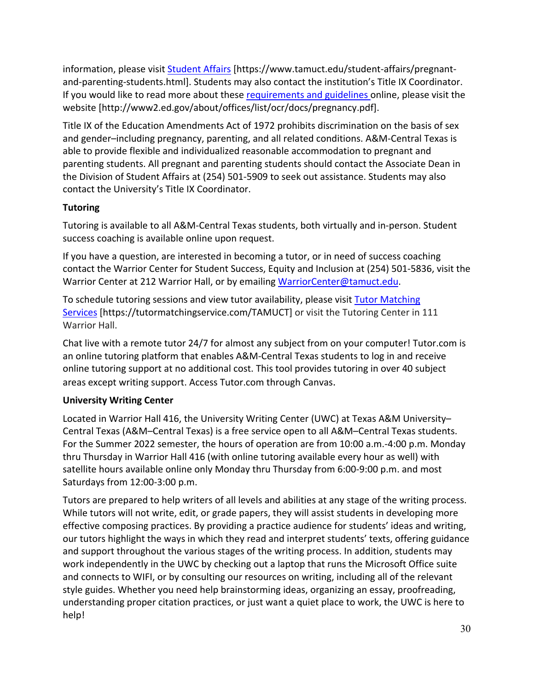information, please visit [Student Affairs](https://www.tamuct.edu/student-affairs/pregnant-and-parenting-students.html) [https://www.tamuct.edu/student-affairs/pregnantand-parenting-students.html]. Students may also contact the institution's Title IX Coordinator. If you would like to read more about these [requirements and guidelines](http://www2.ed.gov/about/offices/list/ocr/docs/pregnancy.pdf) online, please visit the website [http://www2.ed.gov/about/offices/list/ocr/docs/pregnancy.pdf].

Title IX of the Education Amendments Act of 1972 prohibits discrimination on the basis of sex and gender–including pregnancy, parenting, and all related conditions. A&M-Central Texas is able to provide flexible and individualized reasonable accommodation to pregnant and parenting students. All pregnant and parenting students should contact the Associate Dean in the Division of Student Affairs at (254) 501-5909 to seek out assistance. Students may also contact the University's Title IX Coordinator.

# **Tutoring**

Tutoring is available to all A&M-Central Texas students, both virtually and in-person. Student success coaching is available online upon request.

If you have a question, are interested in becoming a tutor, or in need of success coaching contact the Warrior Center for Student Success, Equity and Inclusion at (254) 501-5836, visit the Warrior Center at 212 Warrior Hall, or by emailing [WarriorCenter@tamuct.edu.](mailto:WarriorCenter@tamuct.edu)

To schedule tutoring sessions and view tutor availability, please visit Tutor [Matching](https://tutormatchingservice.com/TAMUCT) [Services](https://tutormatchingservice.com/TAMUCT) [https://tutormatchingservice.com/TAMUCT] or visit the Tutoring Center in 111 Warrior Hall.

Chat live with a remote tutor 24/7 for almost any subject from on your computer! Tutor.com is an online tutoring platform that enables A&M-Central Texas students to log in and receive online tutoring support at no additional cost. This tool provides tutoring in over 40 subject areas except writing support. Access Tutor.com through Canvas.

# **University Writing Center**

Located in Warrior Hall 416, the University Writing Center (UWC) at Texas A&M University– Central Texas (A&M–Central Texas) is a free service open to all A&M–Central Texas students. For the Summer 2022 semester, the hours of operation are from 10:00 a.m.-4:00 p.m. Monday thru Thursday in Warrior Hall 416 (with online tutoring available every hour as well) with satellite hours available online only Monday thru Thursday from 6:00-9:00 p.m. and most Saturdays from 12:00-3:00 p.m.

Tutors are prepared to help writers of all levels and abilities at any stage of the writing process. While tutors will not write, edit, or grade papers, they will assist students in developing more effective composing practices. By providing a practice audience for students' ideas and writing, our tutors highlight the ways in which they read and interpret students' texts, offering guidance and support throughout the various stages of the writing process. In addition, students may work independently in the UWC by checking out a laptop that runs the Microsoft Office suite and connects to WIFI, or by consulting our resources on writing, including all of the relevant style guides. Whether you need help brainstorming ideas, organizing an essay, proofreading, understanding proper citation practices, or just want a quiet place to work, the UWC is here to help!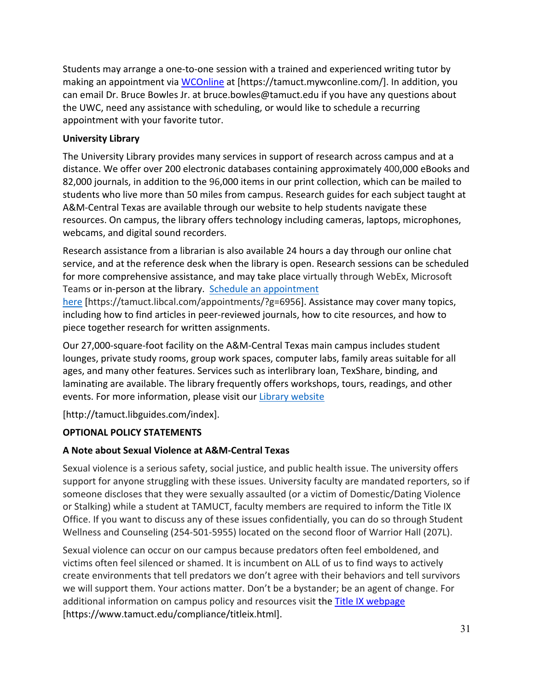Students may arrange a one-to-one session with a trained and experienced writing tutor by making an appointment via [WCOnline](https://tamuct.mywconline.com/) at [https://tamuct.mywconline.com/]. In addition, you can email Dr. Bruce Bowles Jr. at bruce.bowles@tamuct.edu if you have any questions about the UWC, need any assistance with scheduling, or would like to schedule a recurring appointment with your favorite tutor.

# **University Library**

The University Library provides many services in support of research across campus and at a distance. We offer over 200 electronic databases containing approximately 400,000 eBooks and 82,000 journals, in addition to the 96,000 items in our print collection, which can be mailed to students who live more than 50 miles from campus. Research guides for each subject taught at A&M-Central Texas are available through our website to help students navigate these resources. On campus, the library offers technology including cameras, laptops, microphones, webcams, and digital sound recorders.

Research assistance from a librarian is also available 24 hours a day through our online chat service, and at the reference desk when the library is open. Research sessions can be scheduled for more comprehensive assistance, and may take place virtually through WebEx, Microsoft Teams or in-person at the library. Schedule an [appointment](https://nam04.safelinks.protection.outlook.com/?url=https%3A%2F%2Ftamuct.libcal.com%2Fappointments%2F%3Fg%3D6956&data=04%7C01%7Clisa.bunkowski%40tamuct.edu%7Cde2c07d9f5804f09518008d9ab7ba6ff%7C9eed4e3000f744849ff193ad8005acec%7C0%7C0%7C637729369835011558%7CUnknown%7CTWFpbGZsb3d8eyJWIjoiMC4wLjAwMDAiLCJQIjoiV2luMzIiLCJBTiI6Ik1haWwiLCJXVCI6Mn0%3D%7C3000&sdata=KhtjgRSAw9aq%2FoBsB6wyu8b7PSuGN5EGPypzr3Ty2No%3D&reserved=0)

[here](https://nam04.safelinks.protection.outlook.com/?url=https%3A%2F%2Ftamuct.libcal.com%2Fappointments%2F%3Fg%3D6956&data=04%7C01%7Clisa.bunkowski%40tamuct.edu%7Cde2c07d9f5804f09518008d9ab7ba6ff%7C9eed4e3000f744849ff193ad8005acec%7C0%7C0%7C637729369835011558%7CUnknown%7CTWFpbGZsb3d8eyJWIjoiMC4wLjAwMDAiLCJQIjoiV2luMzIiLCJBTiI6Ik1haWwiLCJXVCI6Mn0%3D%7C3000&sdata=KhtjgRSAw9aq%2FoBsB6wyu8b7PSuGN5EGPypzr3Ty2No%3D&reserved=0) [https://tamuct.libcal.com/appointments/?g=6956]. Assistance may cover many topics, including how to find articles in peer-reviewed journals, how to cite resources, and how to piece together research for written assignments.

Our 27,000-square-foot facility on the A&M-Central Texas main campus includes student lounges, private study rooms, group work spaces, computer labs, family areas suitable for all ages, and many other features. Services such as interlibrary loan, TexShare, binding, and laminating are available. The library frequently offers workshops, tours, readings, and other events. For more information, please visit our Library [website](https://nam04.safelinks.protection.outlook.com/?url=https%3A%2F%2Ftamuct.libguides.com%2Findex&data=04%7C01%7Clisa.bunkowski%40tamuct.edu%7C7d8489e8839a4915335f08d916f067f2%7C9eed4e3000f744849ff193ad8005acec%7C0%7C0%7C637566044056484222%7CUnknown%7CTWFpbGZsb3d8eyJWIjoiMC4wLjAwMDAiLCJQIjoiV2luMzIiLCJBTiI6Ik1haWwiLCJXVCI6Mn0%3D%7C1000&sdata=2R755V6rcIyedGrd4Os5rkgn1PvhHKU3kUV1vBKiHFo%3D&reserved=0)

[http://tamuct.libguides.com/index].

# **OPTIONAL POLICY STATEMENTS**

# **A Note about Sexual Violence at A&M-Central Texas**

Sexual violence is a serious safety, social justice, and public health issue. The university offers support for anyone struggling with these issues. University faculty are mandated reporters, so if someone discloses that they were sexually assaulted (or a victim of Domestic/Dating Violence or Stalking) while a student at TAMUCT, faculty members are required to inform the Title IX Office. If you want to discuss any of these issues confidentially, you can do so through Student Wellness and Counseling (254-501-5955) located on the second floor of Warrior Hall (207L).

Sexual violence can occur on our campus because predators often feel emboldened, and victims often feel silenced or shamed. It is incumbent on ALL of us to find ways to actively create environments that tell predators we don't agree with their behaviors and tell survivors we will support them. Your actions matter. Don't be a bystander; be an agent of change. For additional information on campus policy and resources visit the [Title IX webpage](https://www.tamuct.edu/compliance/titleix.html) [\[https://www.tamuct.edu/compliance/titleix.html\]](https://www.tamuct.edu/compliance/titleix.html).